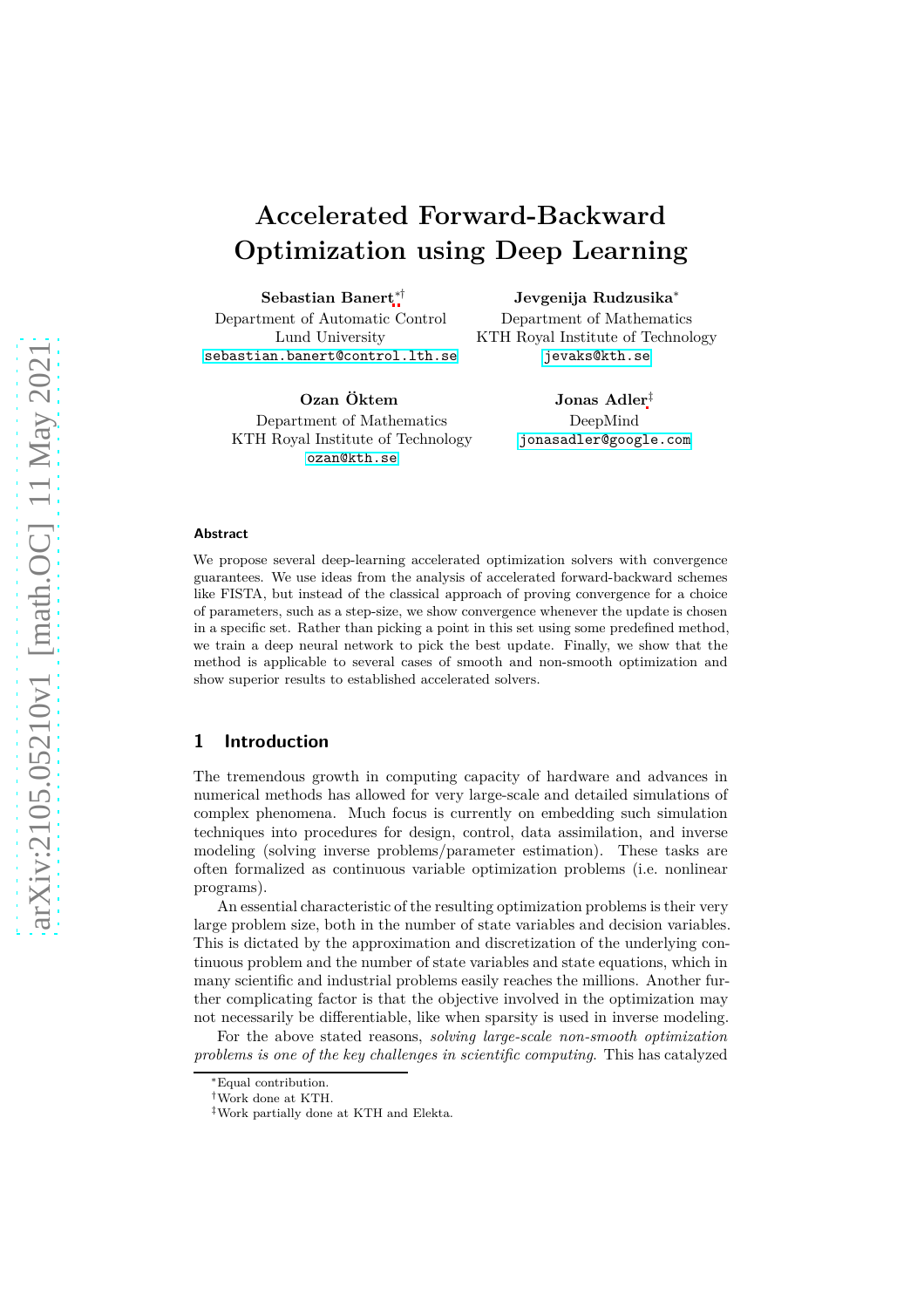# **Accelerated Forward-Backward Optimization using Deep Learning**

**Sebastian Banert**∗† Department of Automatic Control Lund University [sebastian.banert@control.lth.se](mailto:sebastian.banert@control.lth.se)

**Ozan Öktem** Department of Mathematics KTH Royal Institute of Technology [ozan@kth.se](mailto:ozan@kth.se)

**Jevgenija Rudzusika**<sup>∗</sup> Department of Mathematics KTH Royal Institute of Technology [jevaks@kth.se](mailto:jevaks@kth.se)

> **Jonas Adler**‡ DeepMind [jonasadler@google.com](mailto:jonasadler@google.com)

#### **Abstract**

We propose several deep-learning accelerated optimization solvers with convergence guarantees. We use ideas from the analysis of accelerated forward-backward schemes like FISTA, but instead of the classical approach of proving convergence for a choice of parameters, such as a step-size, we show convergence whenever the update is chosen in a specific set. Rather than picking a point in this set using some predefined method, we train a deep neural network to pick the best update. Finally, we show that the method is applicable to several cases of smooth and non-smooth optimization and show superior results to established accelerated solvers.

# **1 Introduction**

The tremendous growth in computing capacity of hardware and advances in numerical methods has allowed for very large-scale and detailed simulations of complex phenomena. Much focus is currently on embedding such simulation techniques into procedures for design, control, data assimilation, and inverse modeling (solving inverse problems/parameter estimation). These tasks are often formalized as continuous variable optimization problems (i.e. nonlinear programs).

An essential characteristic of the resulting optimization problems is their very large problem size, both in the number of state variables and decision variables. This is dictated by the approximation and discretization of the underlying continuous problem and the number of state variables and state equations, which in many scientific and industrial problems easily reaches the millions. Another further complicating factor is that the objective involved in the optimization may not necessarily be differentiable, like when sparsity is used in inverse modeling.

For the above stated reasons, *solving large-scale non-smooth optimization problems is one of the key challenges in scientific computing*. This has catalyzed

<sup>∗</sup>Equal contribution.

<sup>†</sup>Work done at KTH.

<sup>‡</sup>Work partially done at KTH and Elekta.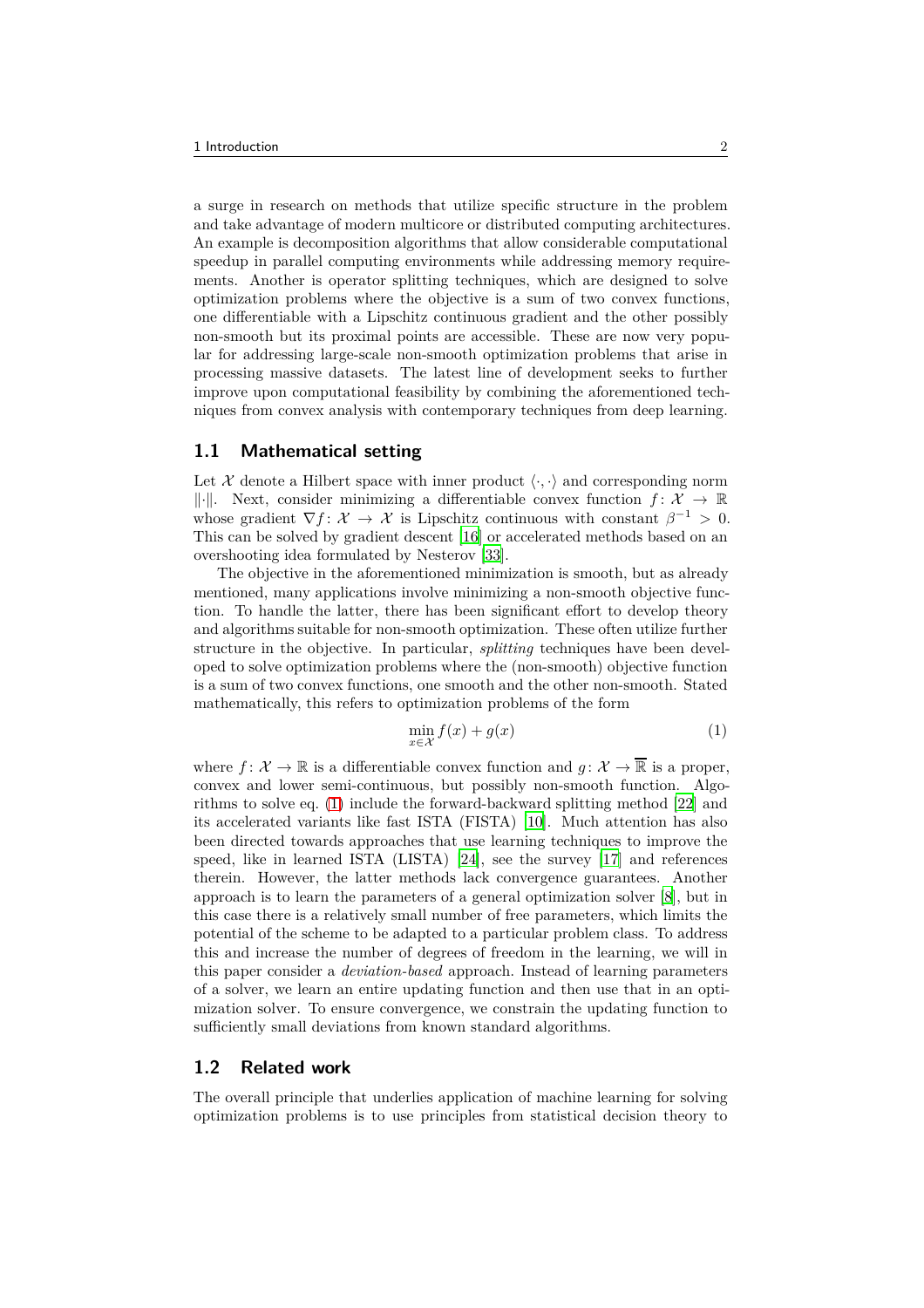a surge in research on methods that utilize specific structure in the problem and take advantage of modern multicore or distributed computing architectures. An example is decomposition algorithms that allow considerable computational speedup in parallel computing environments while addressing memory requirements. Another is operator splitting techniques, which are designed to solve optimization problems where the objective is a sum of two convex functions, one differentiable with a Lipschitz continuous gradient and the other possibly non-smooth but its proximal points are accessible. These are now very popular for addressing large-scale non-smooth optimization problems that arise in processing massive datasets. The latest line of development seeks to further improve upon computational feasibility by combining the aforementioned techniques from convex analysis with contemporary techniques from deep learning.

#### **1.1 Mathematical setting**

Let  $\mathcal X$  denote a Hilbert space with inner product  $\langle \cdot, \cdot \rangle$  and corresponding norm  $\|\cdot\|$ . Next, consider minimizing a differentiable convex function  $f: \mathcal{X} \to \mathbb{R}$ whose gradient  $\nabla f: \mathcal{X} \to \mathcal{X}$  is Lipschitz continuous with constant  $\beta^{-1} > 0$ . This can be solved by gradient descent [\[16](#page-25-0)] or accelerated methods based on an overshooting idea formulated by Nesterov [\[33](#page-26-0)].

The objective in the aforementioned minimization is smooth, but as already mentioned, many applications involve minimizing a non-smooth objective function. To handle the latter, there has been significant effort to develop theory and algorithms suitable for non-smooth optimization. These often utilize further structure in the objective. In particular, *splitting* techniques have been developed to solve optimization problems where the (non-smooth) objective function is a sum of two convex functions, one smooth and the other non-smooth. Stated mathematically, this refers to optimization problems of the form

<span id="page-1-0"></span>
$$
\min_{x \in \mathcal{X}} f(x) + g(x) \tag{1}
$$

where  $f: \mathcal{X} \to \mathbb{R}$  is a differentiable convex function and  $q: \mathcal{X} \to \mathbb{R}$  is a proper, convex and lower semi-continuous, but possibly non-smooth function. Algorithms to solve eq. [\(1\)](#page-1-0) include the forward-backward splitting method [\[22](#page-26-1)] and its accelerated variants like fast ISTA (FISTA) [\[10\]](#page-25-1). Much attention has also been directed towards approaches that use learning techniques to improve the speed, like in learned ISTA (LISTA) [\[24\]](#page-26-2), see the survey [\[17](#page-25-2)] and references therein. However, the latter methods lack convergence guarantees. Another approach is to learn the parameters of a general optimization solver [\[8\]](#page-25-3), but in this case there is a relatively small number of free parameters, which limits the potential of the scheme to be adapted to a particular problem class. To address this and increase the number of degrees of freedom in the learning, we will in this paper consider a *deviation-based* approach. Instead of learning parameters of a solver, we learn an entire updating function and then use that in an optimization solver. To ensure convergence, we constrain the updating function to sufficiently small deviations from known standard algorithms.

#### **1.2 Related work**

The overall principle that underlies application of machine learning for solving optimization problems is to use principles from statistical decision theory to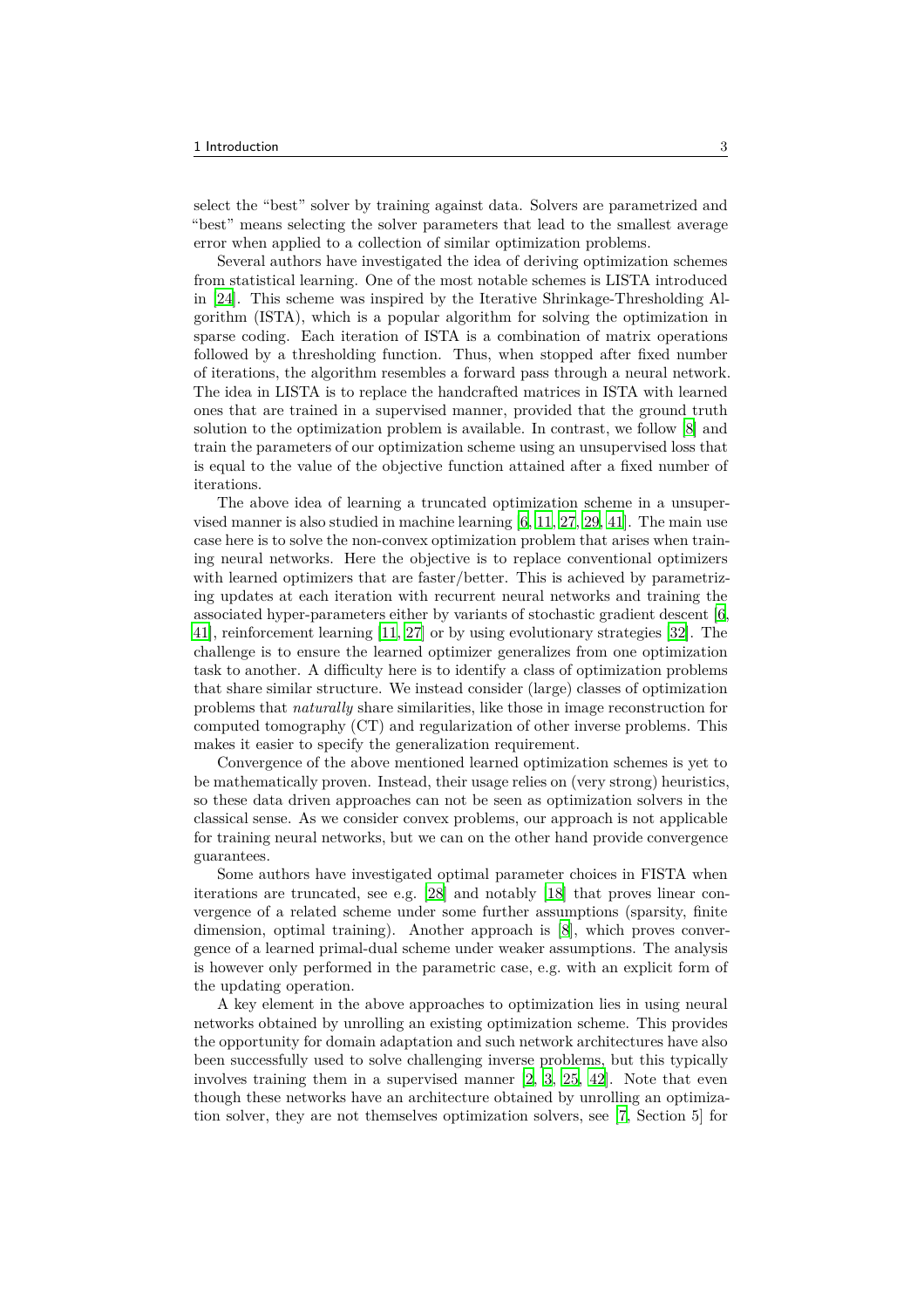select the "best" solver by training against data. Solvers are parametrized and "best" means selecting the solver parameters that lead to the smallest average error when applied to a collection of similar optimization problems.

Several authors have investigated the idea of deriving optimization schemes from statistical learning. One of the most notable schemes is LISTA introduced in [\[24\]](#page-26-2). This scheme was inspired by the Iterative Shrinkage-Thresholding Algorithm (ISTA), which is a popular algorithm for solving the optimization in sparse coding. Each iteration of ISTA is a combination of matrix operations followed by a thresholding function. Thus, when stopped after fixed number of iterations, the algorithm resembles a forward pass through a neural network. The idea in LISTA is to replace the handcrafted matrices in ISTA with learned ones that are trained in a supervised manner, provided that the ground truth solution to the optimization problem is available. In contrast, we follow [\[8\]](#page-25-3) and train the parameters of our optimization scheme using an unsupervised loss that is equal to the value of the objective function attained after a fixed number of iterations.

The above idea of learning a truncated optimization scheme in a unsupervised manner is also studied in machine learning [6, [11,](#page-25-4) [27,](#page-26-3) [29](#page-26-4), [41\]](#page-27-0). The main use case here is to solve the non-convex optimization problem that arises when training neural networks. Here the objective is to replace conventional optimizers with learned optimizers that are faster/better. This is achieved by parametrizing updates at each iteration with recurrent neural networks and training the associated hyper-parameters either by variants of stochastic gradient descent [6, [41\]](#page-27-0), reinforcement learning [\[11,](#page-25-4) [27](#page-26-3)] or by using evolutionary strategies [\[32\]](#page-26-5). The challenge is to ensure the learned optimizer generalizes from one optimization task to another. A difficulty here is to identify a class of optimization problems that share similar structure. We instead consider (large) classes of optimization problems that *naturally* share similarities, like those in image reconstruction for computed tomography (CT) and regularization of other inverse problems. This makes it easier to specify the generalization requirement.

Convergence of the above mentioned learned optimization schemes is yet to be mathematically proven. Instead, their usage relies on (very strong) heuristics, so these data driven approaches can not be seen as optimization solvers in the classical sense. As we consider convex problems, our approach is not applicable for training neural networks, but we can on the other hand provide convergence guarantees.

Some authors have investigated optimal parameter choices in FISTA when iterations are truncated, see e.g. [\[28\]](#page-26-6) and notably [18] that proves linear convergence of a related scheme under some further assumptions (sparsity, finite dimension, optimal training). Another approach is [\[8\]](#page-25-3), which proves convergence of a learned primal-dual scheme under weaker assumptions. The analysis is however only performed in the parametric case, e.g. with an explicit form of the updating operation.

A key element in the above approaches to optimization lies in using neural networks obtained by unrolling an existing optimization scheme. This provides the opportunity for domain adaptation and such network architectures have also been successfully used to solve challenging inverse problems, but this typically involves training them in a supervised manner [\[2](#page-24-0), [3,](#page-24-1) [25,](#page-26-7) [42\]](#page-27-1). Note that even though these networks have an architecture obtained by unrolling an optimization solver, they are not themselves optimization solvers, see [\[7,](#page-25-5) Section 5] for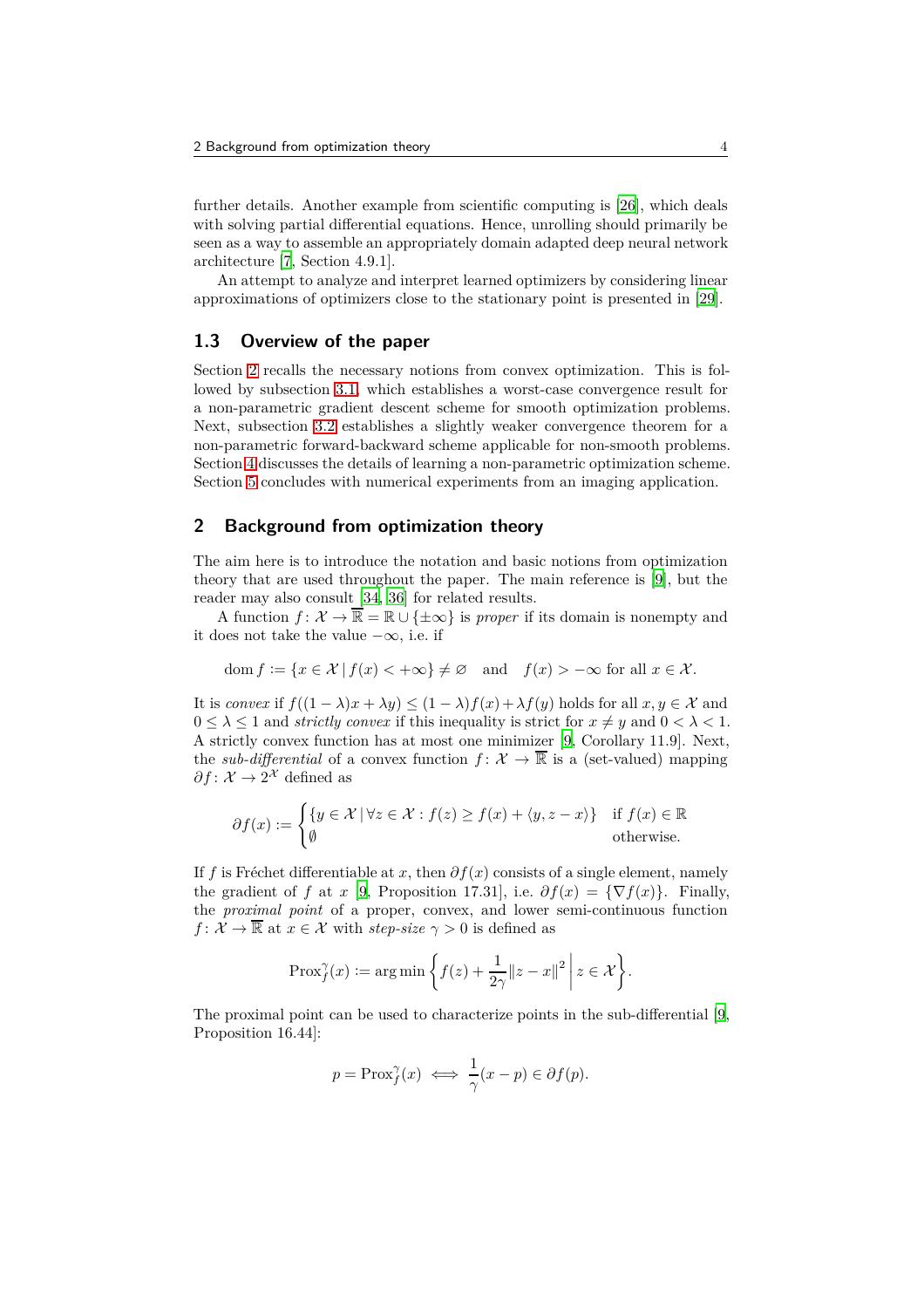further details. Another example from scientific computing is [\[26](#page-26-8)], which deals with solving partial differential equations. Hence, unrolling should primarily be seen as a way to assemble an appropriately domain adapted deep neural network architecture [\[7,](#page-25-5) Section 4.9.1].

An attempt to analyze and interpret learned optimizers by considering linear approximations of optimizers close to the stationary point is presented in [\[29](#page-26-4)].

## **1.3 Overview of the paper**

Section [2](#page-3-0) recalls the necessary notions from convex optimization. This is followed by subsection [3.1,](#page-5-0) which establishes a worst-case convergence result for a non-parametric gradient descent scheme for smooth optimization problems. Next, subsection [3.2](#page-8-0) establishes a slightly weaker convergence theorem for a non-parametric forward-backward scheme applicable for non-smooth problems. Section [4](#page-14-0) discusses the details of learning a non-parametric optimization scheme. Section [5](#page-17-0) concludes with numerical experiments from an imaging application.

# <span id="page-3-0"></span>**2 Background from optimization theory**

The aim here is to introduce the notation and basic notions from optimization theory that are used throughout the paper. The main reference is [\[9\]](#page-25-6), but the reader may also consult [\[34,](#page-26-9) [36](#page-26-10)] for related results.

A function  $f: \mathcal{X} \to \overline{\mathbb{R}} = \mathbb{R} \cup \{\pm \infty\}$  is *proper* if its domain is nonempty and it does not take the value −∞, i.e. if

$$
\operatorname{dom} f := \{ x \in \mathcal{X} \mid f(x) < +\infty \} \neq \varnothing \quad \text{and} \quad f(x) > -\infty \text{ for all } x \in \mathcal{X}.
$$

It is *convex* if  $f((1 - \lambda)x + \lambda y) \le (1 - \lambda)f(x) + \lambda f(y)$  holds for all  $x, y \in \mathcal{X}$  and  $0 \leq \lambda \leq 1$  and *strictly convex* if this inequality is strict for  $x \neq y$  and  $0 < \lambda < 1$ . A strictly convex function has at most one minimizer [\[9](#page-25-6), Corollary 11.9]. Next, the *sub-differential* of a convex function  $f: \mathcal{X} \to \overline{\mathbb{R}}$  is a (set-valued) mapping  $\partial f: \mathcal{X} \to 2^{\mathcal{X}}$  defined as

$$
\partial f(x) := \begin{cases} \{ y \in \mathcal{X} \mid \forall z \in \mathcal{X} : f(z) \ge f(x) + \langle y, z - x \rangle \} & \text{if } f(x) \in \mathbb{R} \\ \emptyset & \text{otherwise.} \end{cases}
$$

If *f* is Fréchet differentiable at *x*, then  $\partial f(x)$  consists of a single element, namely the gradient of *f* at *x* [\[9](#page-25-6), Proposition 17.31], i.e.  $\partial f(x) = {\nabla f(x)}$ . Finally, the *proximal point* of a proper, convex, and lower semi-continuous function *f* :  $\mathcal{X} \to \overline{\mathbb{R}}$  at  $x \in \mathcal{X}$  with *step-size*  $\gamma > 0$  is defined as

$$
\text{Prox}_{f}^{\gamma}(x) := \arg\min\left\{f(z) + \frac{1}{2\gamma} \|z - x\|^2 \, \bigg| \, z \in \mathcal{X}\right\}.
$$

The proximal point can be used to characterize points in the sub-differential [\[9](#page-25-6), Proposition 16.44]:

$$
p = \text{Prox}_f^{\gamma}(x) \iff \frac{1}{\gamma}(x - p) \in \partial f(p).
$$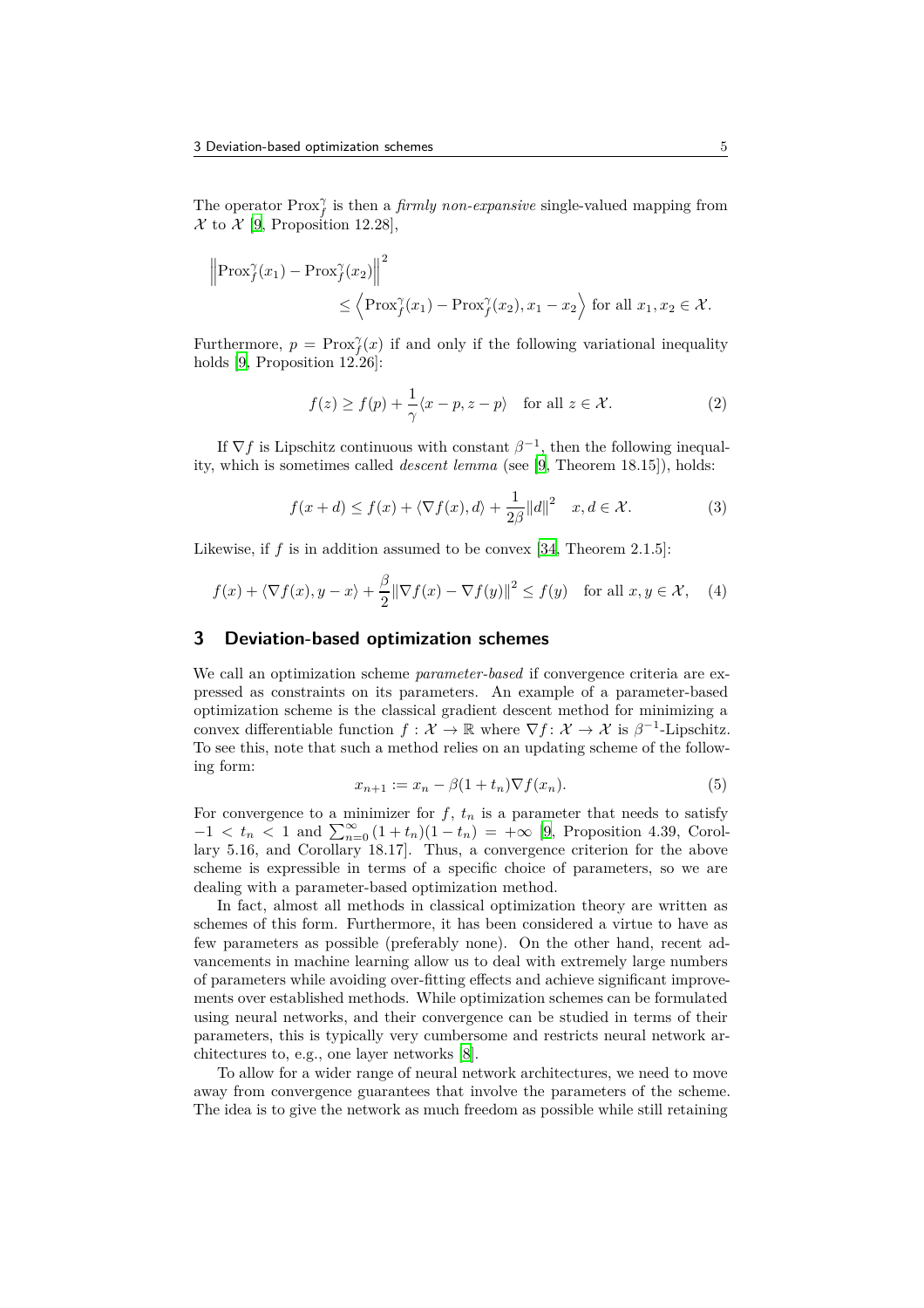The operator  $Prox_j^{\gamma}$  is then a *firmly non-expansive* single-valued mapping from  $\mathcal X$  to  $\mathcal X$  [\[9,](#page-25-6) Proposition 12.28],

$$
\left\|\operatorname{Prox}_{f}^{\gamma}(x_{1}) - \operatorname{Prox}_{f}^{\gamma}(x_{2})\right\|^{2} \leq \left\langle \operatorname{Prox}_{f}^{\gamma}(x_{1}) - \operatorname{Prox}_{f}^{\gamma}(x_{2}), x_{1} - x_{2} \right\rangle \text{ for all } x_{1}, x_{2} \in \mathcal{X}.
$$

Furthermore,  $p = \text{Prox}_{f}^{\gamma}(x)$  if and only if the following variational inequality holds [\[9,](#page-25-6) Proposition 12.26]:

$$
f(z) \ge f(p) + \frac{1}{\gamma} \langle x - p, z - p \rangle \quad \text{for all } z \in \mathcal{X}.
$$
 (2)

If  $\nabla f$  is Lipschitz continuous with constant  $\beta^{-1}$ , then the following inequality, which is sometimes called *descent lemma* (see [\[9,](#page-25-6) Theorem 18.15]), holds:

<span id="page-4-2"></span>
$$
f(x+d) \le f(x) + \langle \nabla f(x), d \rangle + \frac{1}{2\beta} ||d||^2 \quad x, d \in \mathcal{X}.
$$
 (3)

Likewise, if f is in addition assumed to be convex [\[34](#page-26-9), Theorem 2.1.5]:

<span id="page-4-1"></span>
$$
f(x) + \langle \nabla f(x), y - x \rangle + \frac{\beta}{2} ||\nabla f(x) - \nabla f(y)||^2 \le f(y) \quad \text{for all } x, y \in \mathcal{X}, \quad (4)
$$

## **3 Deviation-based optimization schemes**

We call an optimization scheme *parameter-based* if convergence criteria are expressed as constraints on its parameters. An example of a parameter-based optimization scheme is the classical gradient descent method for minimizing a convex differentiable function  $f: \mathcal{X} \to \mathbb{R}$  where  $\nabla f: \mathcal{X} \to \mathcal{X}$  is  $\beta^{-1}$ -Lipschitz. To see this, note that such a method relies on an updating scheme of the following form:

<span id="page-4-0"></span>
$$
x_{n+1} := x_n - \beta (1 + t_n) \nabla f(x_n). \tag{5}
$$

For convergence to a minimizer for  $f$ ,  $t_n$  is a parameter that needs to satisfy  $-1 < t_n < 1$  and  $\sum_{n=0}^{\infty} (1 + t_n)(1 - t_n) = +\infty$  [\[9](#page-25-6), Proposition 4.39, Corollary 5.16, and Corollary 18.17]. Thus, a convergence criterion for the above scheme is expressible in terms of a specific choice of parameters, so we are dealing with a parameter-based optimization method.

In fact, almost all methods in classical optimization theory are written as schemes of this form. Furthermore, it has been considered a virtue to have as few parameters as possible (preferably none). On the other hand, recent advancements in machine learning allow us to deal with extremely large numbers of parameters while avoiding over-fitting effects and achieve significant improvements over established methods. While optimization schemes can be formulated using neural networks, and their convergence can be studied in terms of their parameters, this is typically very cumbersome and restricts neural network architectures to, e.g., one layer networks [\[8](#page-25-3)].

To allow for a wider range of neural network architectures, we need to move away from convergence guarantees that involve the parameters of the scheme. The idea is to give the network as much freedom as possible while still retaining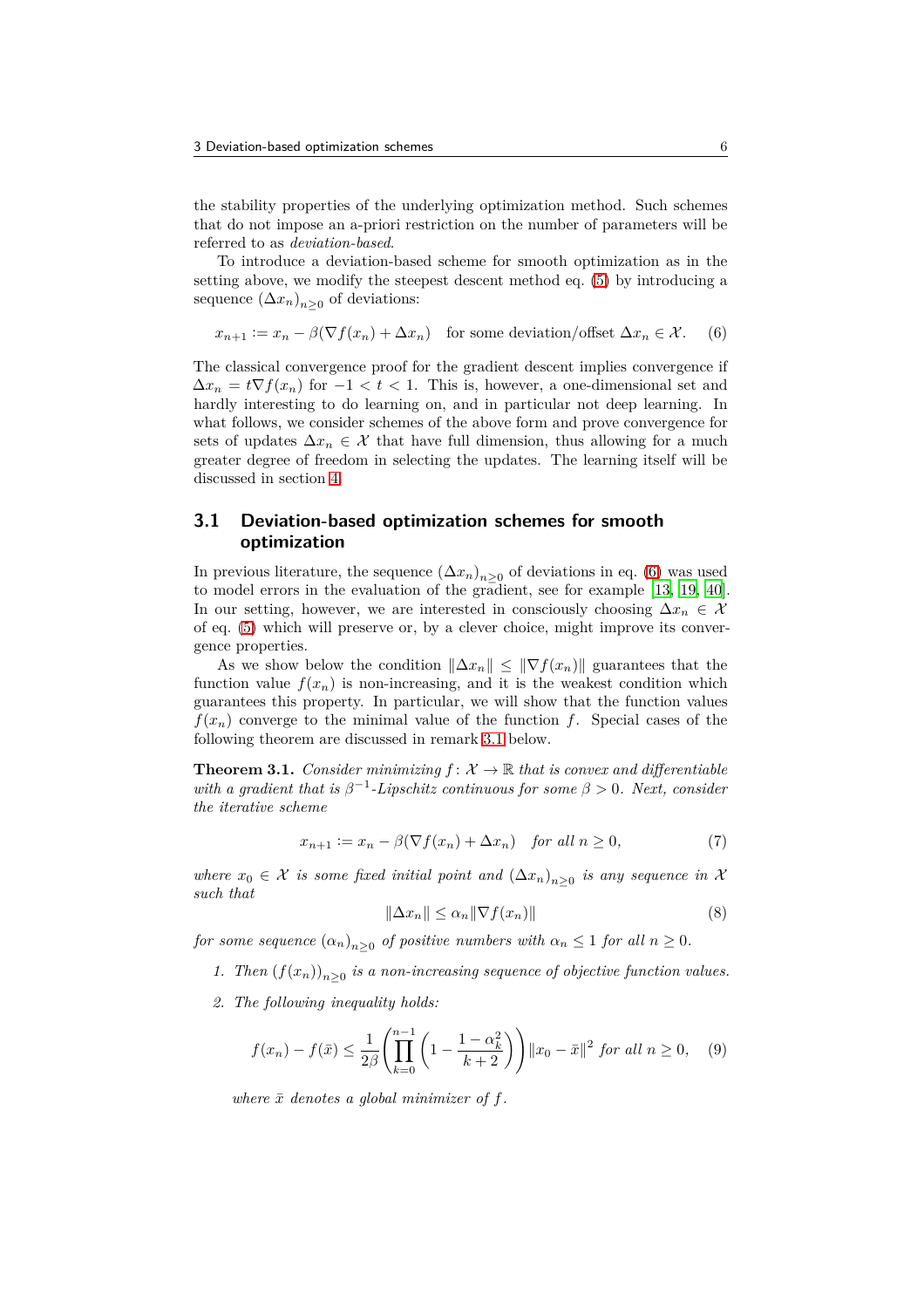the stability properties of the underlying optimization method. Such schemes that do not impose an a-priori restriction on the number of parameters will be referred to as *deviation-based*.

To introduce a deviation-based scheme for smooth optimization as in the setting above, we modify the steepest descent method eq. [\(5\)](#page-4-0) by introducing a sequence  $(\Delta x_n)_{n\geq 0}$  of deviations:

<span id="page-5-1"></span>
$$
x_{n+1} := x_n - \beta(\nabla f(x_n) + \Delta x_n) \quad \text{for some deviation/offset } \Delta x_n \in \mathcal{X}. \tag{6}
$$

The classical convergence proof for the gradient descent implies convergence if  $\Delta x_n = t \nabla f(x_n)$  for  $-1 < t < 1$ . This is, however, a one-dimensional set and hardly interesting to do learning on, and in particular not deep learning. In what follows, we consider schemes of the above form and prove convergence for sets of updates  $\Delta x_n \in \mathcal{X}$  that have full dimension, thus allowing for a much greater degree of freedom in selecting the updates. The learning itself will be discussed in section [4.](#page-14-0)

## <span id="page-5-0"></span>**3.1 Deviation-based optimization schemes for smooth optimization**

In previous literature, the sequence  $(\Delta x_n)_{n\geq 0}$  of deviations in eq. [\(6\)](#page-5-1) was used to model errors in the evaluation of the gradient, see for example [\[13,](#page-25-7) [19](#page-25-8), [40\]](#page-27-2). In our setting, however, we are interested in consciously choosing  $\Delta x_n \in \mathcal{X}$ of eq. [\(5\)](#page-4-0) which will preserve or, by a clever choice, might improve its convergence properties.

As we show below the condition  $\|\Delta x_n\| \leq \|\nabla f(x_n)\|$  guarantees that the function value  $f(x_n)$  is non-increasing, and it is the weakest condition which guarantees this property. In particular, we will show that the function values  $f(x_n)$  converge to the minimal value of the function *f*. Special cases of the following theorem are discussed in remark [3.1](#page-6-0) below.

<span id="page-5-2"></span>**Theorem 3.1.** *Consider minimizing*  $f: \mathcal{X} \to \mathbb{R}$  *that is convex and differentiable with a gradient that is*  $\beta^{-1}$ -*Lipschitz continuous for some*  $\beta > 0$ *. Next, consider the iterative scheme*

<span id="page-5-5"></span>
$$
x_{n+1} := x_n - \beta(\nabla f(x_n) + \Delta x_n) \quad \text{for all } n \ge 0,
$$
 (7)

 $where x<sub>0</sub> ∈ X is some fixed initial point and ( $(\Delta x<sub>n</sub>)<sub>n≥0</sub>$  is any sequence in X$ *such that*

<span id="page-5-6"></span>
$$
\|\Delta x_n\| \le \alpha_n \|\nabla f(x_n)\| \tag{8}
$$

<span id="page-5-4"></span>*for some sequence*  $(a_n)_{n\geq 0}$  *of positive numbers with*  $a_n \leq 1$  *for all*  $n \geq 0$ *.* 

- *1. Then*  $(f(x_n))_{n\geq 0}$  *is a non-increasing sequence of objective function values.*
- *2. The following inequality holds:*

<span id="page-5-3"></span>
$$
f(x_n) - f(\bar{x}) \le \frac{1}{2\beta} \left( \prod_{k=0}^{n-1} \left( 1 - \frac{1 - \alpha_k^2}{k+2} \right) \right) \|x_0 - \bar{x}\|^2 \text{ for all } n \ge 0,
$$
 (9)

*where*  $\bar{x}$  *denotes* a global minimizer of  $f$ .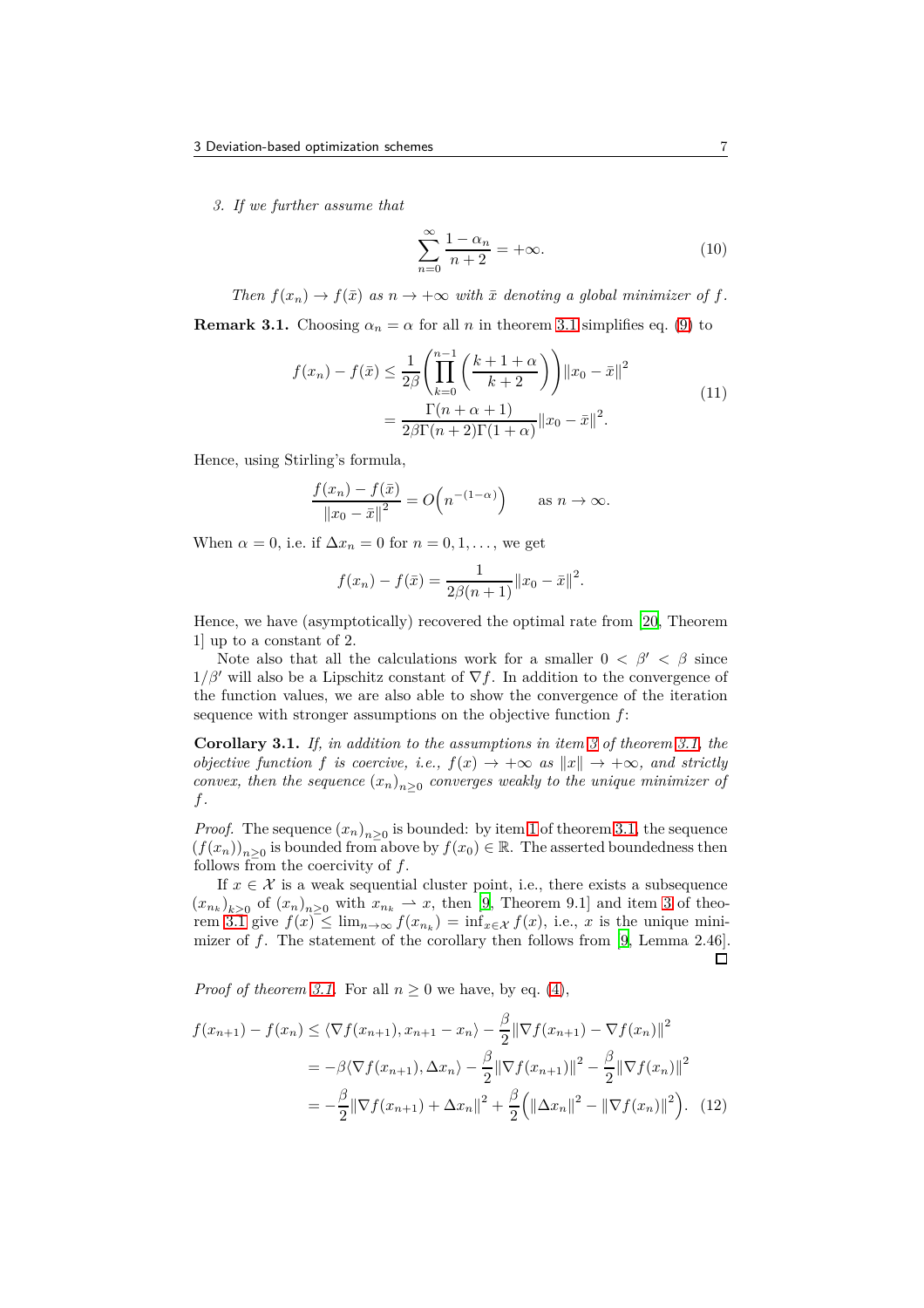<span id="page-6-1"></span>*3. If we further assume that*

<span id="page-6-2"></span>
$$
\sum_{n=0}^{\infty} \frac{1 - \alpha_n}{n+2} = +\infty.
$$
 (10)

*Then*  $f(x_n) \to f(\bar{x})$  *as*  $n \to +\infty$  *with*  $\bar{x}$  *denoting a global minimizer of*  $f$ *.* 

<span id="page-6-0"></span>**Remark [3.1](#page-5-2).** Choosing  $\alpha_n = \alpha$  for all *n* in theorem 3.1 simplifies eq. [\(9\)](#page-5-3) to

$$
f(x_n) - f(\bar{x}) \le \frac{1}{2\beta} \left( \prod_{k=0}^{n-1} \left( \frac{k+1+\alpha}{k+2} \right) \right) ||x_0 - \bar{x}||^2
$$
  
= 
$$
\frac{\Gamma(n+\alpha+1)}{2\beta \Gamma(n+2)\Gamma(1+\alpha)} ||x_0 - \bar{x}||^2.
$$
 (11)

Hence, using Stirling's formula,

$$
\frac{f(x_n) - f(\bar{x})}{\|x_0 - \bar{x}\|^2} = O\left(n^{-(1-\alpha)}\right) \quad \text{as } n \to \infty.
$$

When  $\alpha = 0$ , i.e. if  $\Delta x_n = 0$  for  $n = 0, 1, \ldots$ , we get

$$
f(x_n) - f(\bar{x}) = \frac{1}{2\beta(n+1)} ||x_0 - \bar{x}||^2.
$$

Hence, we have (asymptotically) recovered the optimal rate from [\[20,](#page-26-11) Theorem 1] up to a constant of 2.

Note also that all the calculations work for a smaller  $0 < \beta' < \beta$  since  $1/\beta'$  will also be a Lipschitz constant of  $\nabla f$ . In addition to the convergence of the function values, we are also able to show the convergence of the iteration sequence with stronger assumptions on the objective function *f*:

<span id="page-6-3"></span>**Corollary 3.1.** *If, in addition to the assumptions in item [3](#page-6-1) of theorem [3.1,](#page-5-2) the objective function f is coercive, i.e.,*  $f(x) \rightarrow +\infty$  *as*  $||x|| \rightarrow +\infty$ *, and strictly convex, then the sequence*  $(x_n)_{n\geq 0}$  *converges weakly to the unique minimizer of f.*

*Proof.* The sequence  $(x_n)_{n\geq 0}$  is bounded: by item [1](#page-5-4) of theorem [3.1,](#page-5-2) the sequence  $(f(x_n))_{n\geq 0}$  is bounded from above by  $f(x_0) \in \mathbb{R}$ . The asserted boundedness then follows from the coercivity of *f*.

If  $x \in \mathcal{X}$  is a weak sequential cluster point, i.e., there exists a subsequence  $(x_{n_k})_{k\geq 0}$  of  $(x_n)_{n\geq 0}$  with  $x_{n_k} \to x$ , then [\[9](#page-25-6), Theorem 9.1] and item [3](#page-6-1) of theo-rem [3.1](#page-5-2) give  $f(x) \leq \lim_{n \to \infty} f(x_{n_k}) = \inf_{x \in \mathcal{X}} f(x)$ , i.e., x is the unique minimizer of *f*. The statement of the corollary then follows from [\[9,](#page-25-6) Lemma 2.46].  $\Box$ 

*Proof of theorem [3.1.](#page-5-2)* For all  $n \geq 0$  we have, by eq. [\(4\)](#page-4-1),

$$
f(x_{n+1}) - f(x_n) \le \langle \nabla f(x_{n+1}), x_{n+1} - x_n \rangle - \frac{\beta}{2} || \nabla f(x_{n+1}) - \nabla f(x_n) ||^2
$$
  
=  $-\beta \langle \nabla f(x_{n+1}), \Delta x_n \rangle - \frac{\beta}{2} || \nabla f(x_{n+1}) ||^2 - \frac{\beta}{2} || \nabla f(x_n) ||^2$   
=  $-\frac{\beta}{2} || \nabla f(x_{n+1}) + \Delta x_n ||^2 + \frac{\beta}{2} (|| \Delta x_n ||^2 - || \nabla f(x_n) ||^2).$  (12)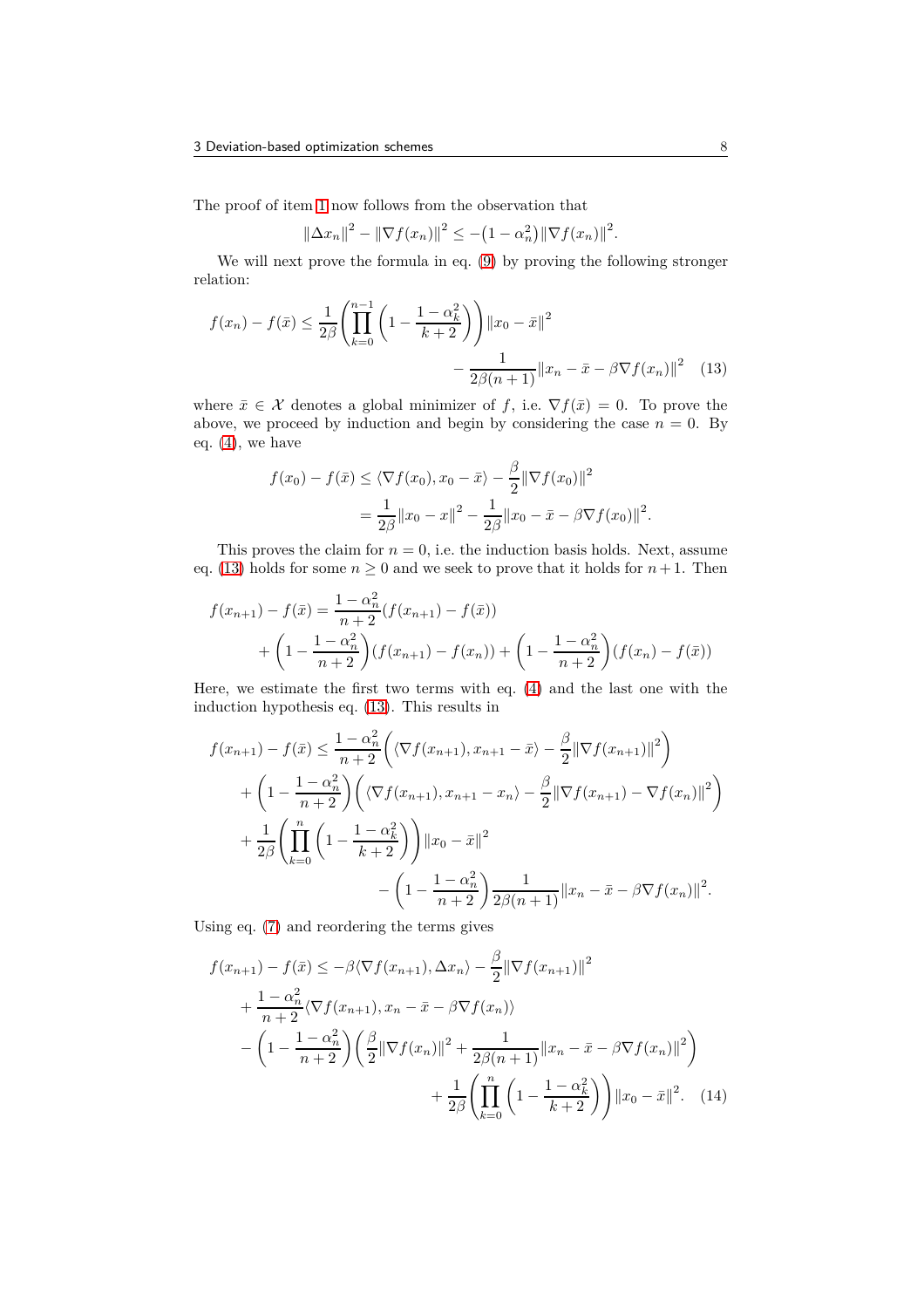The proof of item [1](#page-5-4) now follows from the observation that

<span id="page-7-0"></span>
$$
\|\Delta x_n\|^2 - \|\nabla f(x_n)\|^2 \le -\left(1 - \alpha_n^2\right) \|\nabla f(x_n)\|^2.
$$

We will next prove the formula in eq. [\(9\)](#page-5-3) by proving the following stronger relation:

$$
f(x_n) - f(\bar{x}) \le \frac{1}{2\beta} \left( \prod_{k=0}^{n-1} \left( 1 - \frac{1 - \alpha_k^2}{k+2} \right) \right) ||x_0 - \bar{x}||^2
$$

$$
- \frac{1}{2\beta(n+1)} ||x_n - \bar{x} - \beta \nabla f(x_n)||^2 \quad (13)
$$

where  $\bar{x} \in \mathcal{X}$  denotes a global minimizer of f, i.e.  $\nabla f(\bar{x}) = 0$ . To prove the above, we proceed by induction and begin by considering the case  $n = 0$ . By eq. [\(4\)](#page-4-1), we have

$$
f(x_0) - f(\bar{x}) \le \langle \nabla f(x_0), x_0 - \bar{x} \rangle - \frac{\beta}{2} ||\nabla f(x_0)||^2
$$
  
=  $\frac{1}{2\beta} ||x_0 - x||^2 - \frac{1}{2\beta} ||x_0 - \bar{x} - \beta \nabla f(x_0)||^2$ .

This proves the claim for  $n = 0$ , i.e. the induction basis holds. Next, assume eq. [\(13\)](#page-7-0) holds for some  $n \geq 0$  and we seek to prove that it holds for  $n + 1$ . Then

$$
f(x_{n+1}) - f(\bar{x}) = \frac{1 - \alpha_n^2}{n+2} (f(x_{n+1}) - f(\bar{x}))
$$
  
+ 
$$
\left(1 - \frac{1 - \alpha_n^2}{n+2}\right) (f(x_{n+1}) - f(x_n)) + \left(1 - \frac{1 - \alpha_n^2}{n+2}\right) (f(x_n) - f(\bar{x}))
$$

Here, we estimate the first two terms with eq. [\(4\)](#page-4-1) and the last one with the induction hypothesis eq. [\(13\)](#page-7-0). This results in

$$
f(x_{n+1}) - f(\bar{x}) \le \frac{1 - \alpha_n^2}{n+2} \left( \langle \nabla f(x_{n+1}), x_{n+1} - \bar{x} \rangle - \frac{\beta}{2} || \nabla f(x_{n+1}) ||^2 \right) + \left( 1 - \frac{1 - \alpha_n^2}{n+2} \right) \left( \langle \nabla f(x_{n+1}), x_{n+1} - x_n \rangle - \frac{\beta}{2} || \nabla f(x_{n+1}) - \nabla f(x_n) ||^2 \right) + \frac{1}{2\beta} \left( \prod_{k=0}^n \left( 1 - \frac{1 - \alpha_k^2}{k+2} \right) ||x_0 - \bar{x}||^2 - \left( 1 - \frac{1 - \alpha_n^2}{n+2} \right) \frac{1}{2\beta(n+1)} ||x_n - \bar{x} - \beta \nabla f(x_n) ||^2.
$$

Using eq. [\(7\)](#page-5-5) and reordering the terms gives

<span id="page-7-1"></span>
$$
f(x_{n+1}) - f(\bar{x}) \le -\beta \langle \nabla f(x_{n+1}), \Delta x_n \rangle - \frac{\beta}{2} || \nabla f(x_{n+1}) ||^2 + \frac{1 - \alpha_n^2}{n+2} \langle \nabla f(x_{n+1}), x_n - \bar{x} - \beta \nabla f(x_n) \rangle - \left( 1 - \frac{1 - \alpha_n^2}{n+2} \right) \left( \frac{\beta}{2} || \nabla f(x_n) ||^2 + \frac{1}{2\beta(n+1)} || x_n - \bar{x} - \beta \nabla f(x_n) ||^2 \right) + \frac{1}{2\beta} \left( \prod_{k=0}^n \left( 1 - \frac{1 - \alpha_k^2}{k+2} \right) \right) || x_0 - \bar{x} ||^2. (14)
$$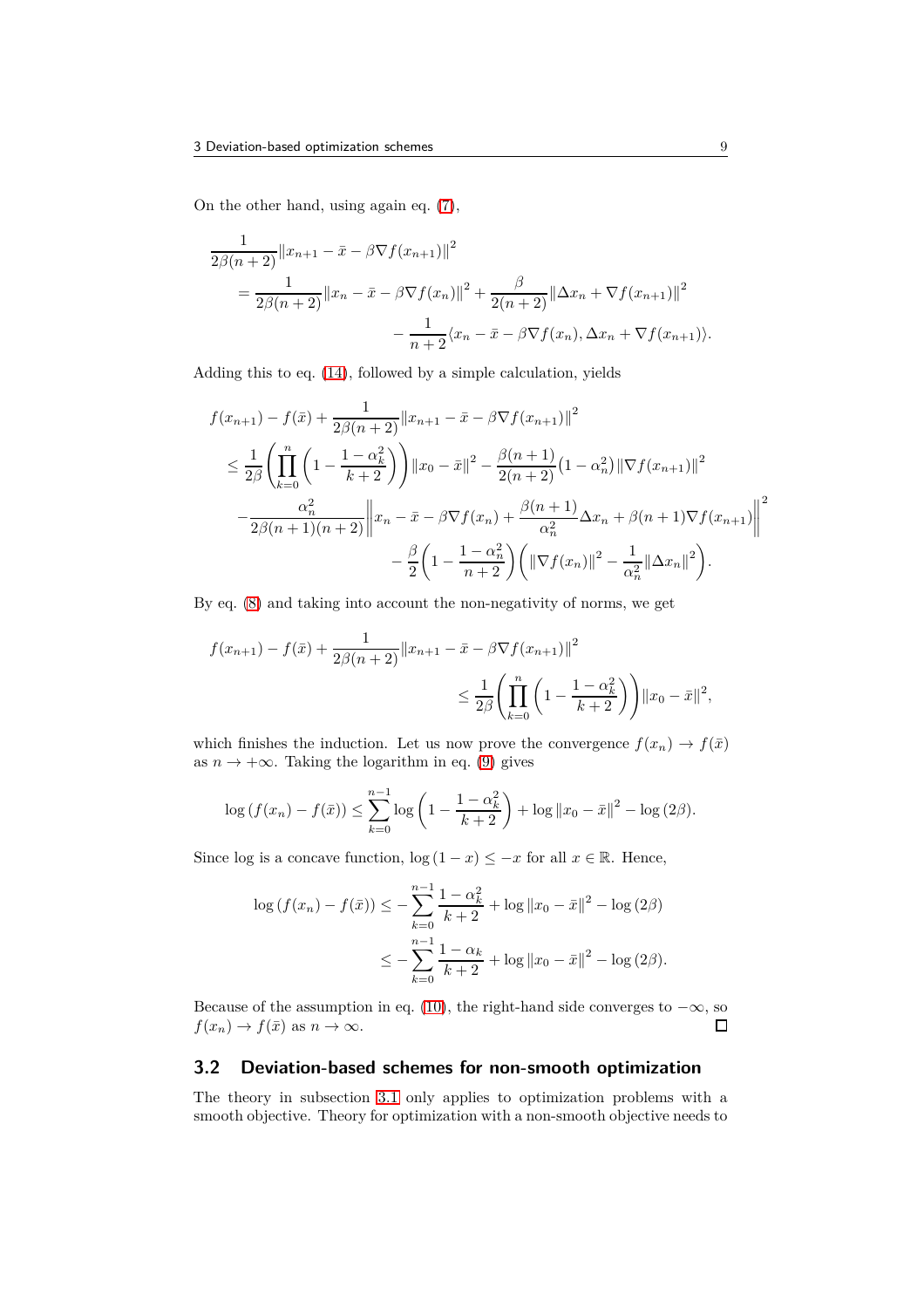On the other hand, using again eq. [\(7\)](#page-5-5),

$$
\frac{1}{2\beta(n+2)}||x_{n+1} - \bar{x} - \beta \nabla f(x_{n+1})||^2
$$
  
= 
$$
\frac{1}{2\beta(n+2)}||x_n - \bar{x} - \beta \nabla f(x_n)||^2 + \frac{\beta}{2(n+2)}||\Delta x_n + \nabla f(x_{n+1})||^2
$$
  
- 
$$
\frac{1}{n+2}\langle x_n - \bar{x} - \beta \nabla f(x_n), \Delta x_n + \nabla f(x_{n+1})\rangle.
$$

Adding this to eq. [\(14\)](#page-7-1), followed by a simple calculation, yields

$$
f(x_{n+1}) - f(\bar{x}) + \frac{1}{2\beta(n+2)} ||x_{n+1} - \bar{x} - \beta \nabla f(x_{n+1})||^2
$$
  
\n
$$
\leq \frac{1}{2\beta} \left( \prod_{k=0}^n \left( 1 - \frac{1 - \alpha_k^2}{k+2} \right) \right) ||x_0 - \bar{x}||^2 - \frac{\beta(n+1)}{2(n+2)} (1 - \alpha_n^2) ||\nabla f(x_{n+1})||^2
$$
  
\n
$$
- \frac{\alpha_n^2}{2\beta(n+1)(n+2)} ||x_n - \bar{x} - \beta \nabla f(x_n) + \frac{\beta(n+1)}{\alpha_n^2} \Delta x_n + \beta(n+1) \nabla f(x_{n+1}) ||^2
$$
  
\n
$$
- \frac{\beta}{2} \left( 1 - \frac{1 - \alpha_n^2}{n+2} \right) \left( ||\nabla f(x_n)||^2 - \frac{1}{\alpha_n^2} ||\Delta x_n||^2 \right).
$$

By eq. [\(8\)](#page-5-6) and taking into account the non-negativity of norms, we get

$$
f(x_{n+1}) - f(\bar{x}) + \frac{1}{2\beta(n+2)} ||x_{n+1} - \bar{x} - \beta \nabla f(x_{n+1})||^2
$$
  

$$
\leq \frac{1}{2\beta} \left( \prod_{k=0}^{n} \left( 1 - \frac{1 - \alpha_k^2}{k+2} \right) \right) ||x_0 - \bar{x}||^2,
$$

which finishes the induction. Let us now prove the convergence  $f(x_n) \to f(\bar{x})$ as  $n \to +\infty$ . Taking the logarithm in eq. [\(9\)](#page-5-3) gives

$$
\log(f(x_n) - f(\bar{x})) \le \sum_{k=0}^{n-1} \log\left(1 - \frac{1 - \alpha_k^2}{k+2}\right) + \log||x_0 - \bar{x}||^2 - \log(2\beta).
$$

Since log is a concave function,  $\log(1-x) \leq -x$  for all  $x \in \mathbb{R}$ . Hence,

$$
\log (f(x_n) - f(\bar{x})) \le -\sum_{k=0}^{n-1} \frac{1 - \alpha_k^2}{k+2} + \log ||x_0 - \bar{x}||^2 - \log (2\beta)
$$
  

$$
\le -\sum_{k=0}^{n-1} \frac{1 - \alpha_k}{k+2} + \log ||x_0 - \bar{x}||^2 - \log (2\beta).
$$

Because of the assumption in eq. [\(10\)](#page-6-2), the right-hand side converges to  $-\infty$ , so  $f(x_n) \to f(\bar{x})$  as  $n \to \infty$ .  $\Box$ 

## <span id="page-8-0"></span>**3.2 Deviation-based schemes for non-smooth optimization**

The theory in subsection [3.1](#page-5-0) only applies to optimization problems with a smooth objective. Theory for optimization with a non-smooth objective needs to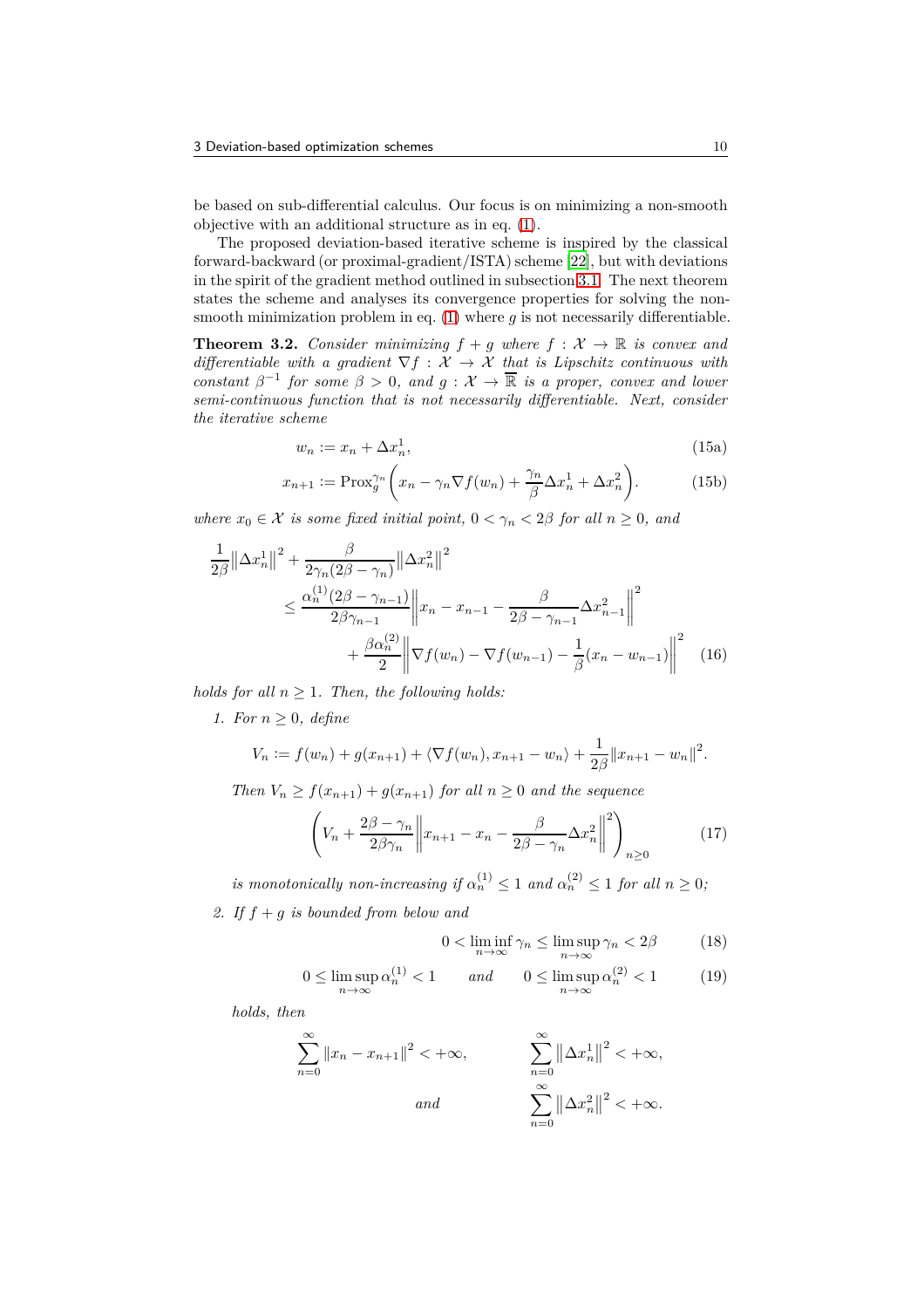be based on sub-differential calculus. Our focus is on minimizing a non-smooth objective with an additional structure as in eq. [\(1\)](#page-1-0).

The proposed deviation-based iterative scheme is inspired by the classical forward-backward (or proximal-gradient/ISTA) scheme [\[22\]](#page-26-1), but with deviations in the spirit of the gradient method outlined in subsection [3.1.](#page-5-0) The next theorem states the scheme and analyses its convergence properties for solving the nonsmooth minimization problem in eq.  $(1)$  where q is not necessarily differentiable.

<span id="page-9-1"></span>**Theorem 3.2.** *Consider minimizing*  $f + g$  *where*  $f : \mathcal{X} \to \mathbb{R}$  *is convex and differentiable with a gradient*  $\nabla f : \mathcal{X} \to \mathcal{X}$  that is Lipschitz continuous with *constant*  $\beta^{-1}$  *for some*  $\beta > 0$ *, and*  $g : \mathcal{X} \to \overline{\mathbb{R}}$  *is a proper, convex and lower semi-continuous function that is not necessarily differentiable. Next, consider the iterative scheme*

<span id="page-9-9"></span><span id="page-9-8"></span><span id="page-9-4"></span>
$$
w_n := x_n + \Delta x_n^1,\tag{15a}
$$

$$
x_{n+1} := \text{Prox}_{g}^{\gamma_n} \left( x_n - \gamma_n \nabla f(w_n) + \frac{\gamma_n}{\beta} \Delta x_n^1 + \Delta x_n^2 \right). \tag{15b}
$$

*where*  $x_0 \in \mathcal{X}$  *is some fixed initial point,*  $0 < \gamma_n < 2\beta$  *for all*  $n \geq 0$ *, and* 

$$
\frac{1}{2\beta} ||\Delta x_n^1||^2 + \frac{\beta}{2\gamma_n(2\beta - \gamma_n)} ||\Delta x_n^2||^2
$$
  
\n
$$
\leq \frac{\alpha_n^{(1)}(2\beta - \gamma_{n-1})}{2\beta\gamma_{n-1}} ||x_n - x_{n-1} - \frac{\beta}{2\beta - \gamma_{n-1}} \Delta x_{n-1}^2||^2
$$
  
\n
$$
+ \frac{\beta \alpha_n^{(2)}}{2} ||\nabla f(w_n) - \nabla f(w_{n-1}) - \frac{1}{\beta}(x_n - w_{n-1})||^2
$$
(16)

<span id="page-9-2"></span>*holds for all*  $n \geq 1$ *. Then, the following holds:* 

*1. For n* ≥ 0*, define*

$$
V_n := f(w_n) + g(x_{n+1}) + \langle \nabla f(w_n), x_{n+1} - w_n \rangle + \frac{1}{2\beta} ||x_{n+1} - w_n||^2.
$$

*Then*  $V_n \ge f(x_{n+1}) + g(x_{n+1})$  *for all*  $n \ge 0$  *and the sequence* 

<span id="page-9-3"></span>
$$
\left(V_n + \frac{2\beta - \gamma_n}{2\beta\gamma_n} \left\| x_{n+1} - x_n - \frac{\beta}{2\beta - \gamma_n} \Delta x_n^2 \right\|^2 \right)_{n \ge 0} \tag{17}
$$

*is monotonically non-increasing if*  $\alpha_n^{(1)} \leq 1$  *and*  $\alpha_n^{(2)} \leq 1$  *for all*  $n \geq 0$ ;

<span id="page-9-0"></span>*2. If f* + *g is bounded from below and*

<span id="page-9-7"></span><span id="page-9-6"></span><span id="page-9-5"></span>
$$
0 < \liminf_{n \to \infty} \gamma_n \le \limsup_{n \to \infty} \gamma_n < 2\beta \tag{18}
$$

$$
0 \le \limsup_{n \to \infty} \alpha_n^{(1)} < 1 \qquad \text{and} \qquad 0 \le \limsup_{n \to \infty} \alpha_n^{(2)} < 1 \tag{19}
$$

*holds, then*

$$
\sum_{n=0}^{\infty} \|x_n - x_{n+1}\|^2 < +\infty, \qquad \qquad \sum_{n=0}^{\infty} \left\|\Delta x_n^1\right\|^2 < +\infty, \\
and \qquad \qquad \sum_{n=0}^{\infty} \left\|\Delta x_n^2\right\|^2 < +\infty.
$$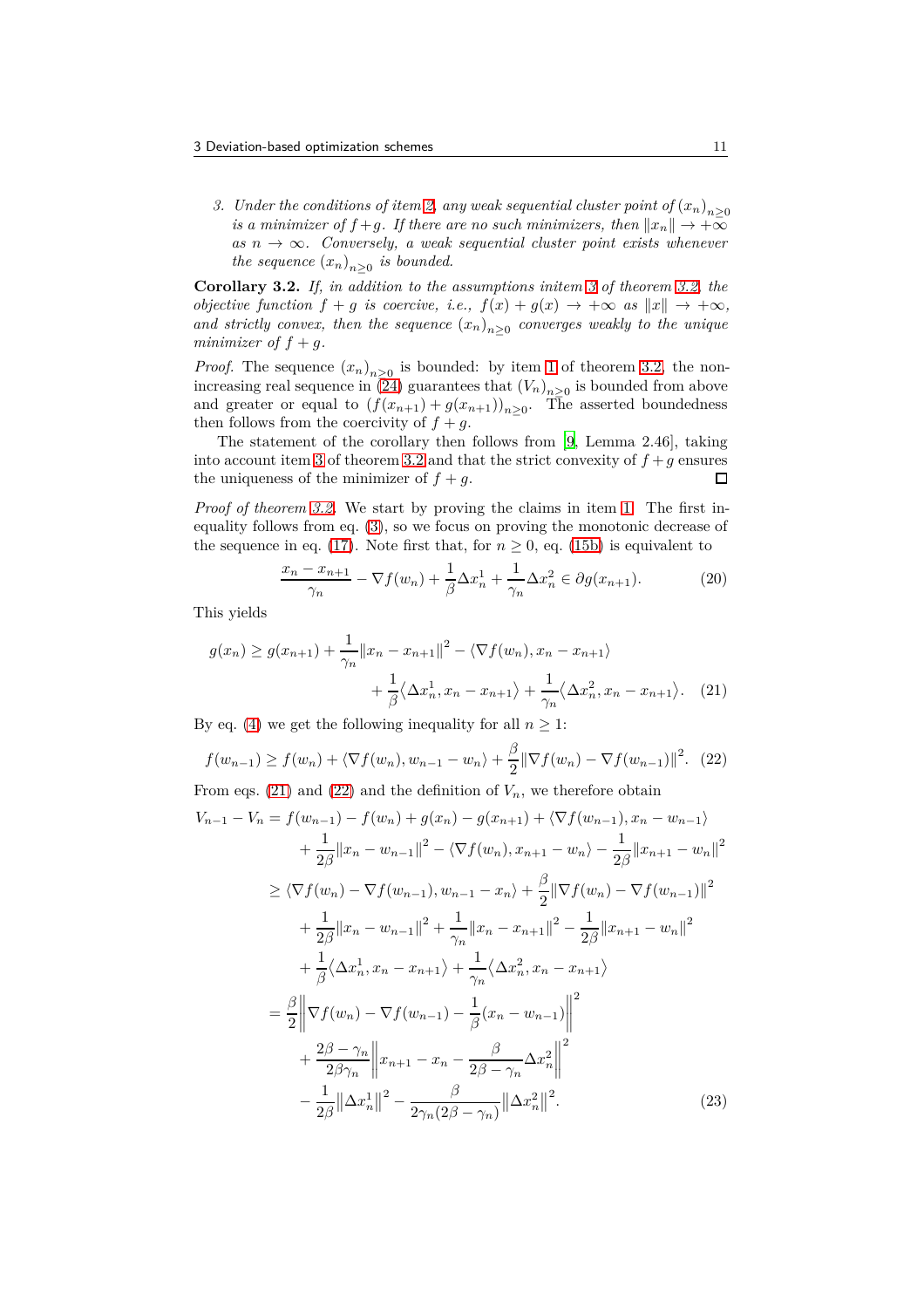<span id="page-10-0"></span>*3. Under the conditions of item [2,](#page-9-0) any weak sequential cluster point of*  $(x_n)_{n>0}$ *is a minimizer of*  $f + g$ *. If there are no such minimizers, then*  $||x_n|| \to +\infty$ *as*  $n \to \infty$ *. Conversely, a weak sequential cluster point exists whenever the sequence*  $(x_n)_{n\geq 0}$  *is bounded.* 

<span id="page-10-4"></span>**Corollary 3.2.** *If, in addition to the assumptions initem [3](#page-10-0) of theorem [3.2,](#page-9-1) the objective function*  $f + g$  *is coercive, i.e.,*  $f(x) + g(x) \rightarrow +\infty$  *as*  $||x|| \rightarrow +\infty$ *, and strictly convex, then the sequence*  $(x_n)_{n\geq 0}$  *converges weakly to the unique minimizer of*  $f + q$ *.* 

*Proof.* The sequence  $(x_n)_{n\geq 0}$  is bounded: by item [1](#page-9-2) of theorem [3.2,](#page-9-1) the nonincreasing real sequence in  $(24)$  guarantees that  $(V_n)_{n\geq 0}$  is bounded from above and greater or equal to  $(f(x_{n+1}) + g(x_{n+1}))_{n \geq 0}$ . The asserted boundedness then follows from the coercivity of  $f + g$ .

The statement of the corollary then follows from [\[9,](#page-25-6) Lemma 2.46], taking into account item [3](#page-10-0) of theorem [3.2](#page-9-1) and that the strict convexity of  $f + g$  ensures the uniqueness of the minimizer of  $f + g$ .  $\Box$ 

*Proof of theorem [3.2.](#page-9-1)* We start by proving the claims in item [1.](#page-9-2) The first inequality follows from eq. [\(3\)](#page-4-2), so we focus on proving the monotonic decrease of the sequence in eq. [\(17\)](#page-9-3). Note first that, for  $n \geq 0$ , eq. [\(15b\)](#page-9-4) is equivalent to

<span id="page-10-3"></span><span id="page-10-1"></span>
$$
\frac{x_n - x_{n+1}}{\gamma_n} - \nabla f(w_n) + \frac{1}{\beta} \Delta x_n^1 + \frac{1}{\gamma_n} \Delta x_n^2 \in \partial g(x_{n+1}).\tag{20}
$$

This yields

$$
g(x_n) \ge g(x_{n+1}) + \frac{1}{\gamma_n} ||x_n - x_{n+1}||^2 - \langle \nabla f(w_n), x_n - x_{n+1} \rangle
$$

$$
+ \frac{1}{\beta} \langle \Delta x_n^1, x_n - x_{n+1} \rangle + \frac{1}{\gamma_n} \langle \Delta x_n^2, x_n - x_{n+1} \rangle. \tag{21}
$$

By eq. [\(4\)](#page-4-1) we get the following inequality for all  $n \geq 1$ :

<span id="page-10-2"></span>
$$
f(w_{n-1}) \ge f(w_n) + \langle \nabla f(w_n), w_{n-1} - w_n \rangle + \frac{\beta}{2} || \nabla f(w_n) - \nabla f(w_{n-1}) ||^2. \tag{22}
$$

From eqs. [\(21\)](#page-10-1) and [\(22\)](#page-10-2) and the definition of  $V_n$ , we therefore obtain  $V_{n-1} - V_n = f(w_{n-1}) - f(w_n) + q(x_n) - q(x_{n+1}) + \langle \nabla f(w_{n-1}), x_n - w_{n-1} \rangle$ 

$$
u_{n-1} - v_n = f(w_{n-1}) - f(w_n) + g(x_n) - g(x_{n+1}) + \sqrt{f(w_{n-1})}, x_n - w_{n-1}
$$
  
+ 
$$
\frac{1}{2\beta} ||x_n - w_{n-1}||^2 - \sqrt{\nabla f(w_n)}, x_{n+1} - w_n \rangle - \frac{1}{2\beta} ||x_{n+1} - w_n||^2
$$
  

$$
\geq \sqrt{\nabla f(w_n)} - \nabla f(w_{n-1}), w_{n-1} - x_n \rangle + \frac{\beta}{2} ||\nabla f(w_n) - \nabla f(w_{n-1})||^2
$$
  
+ 
$$
\frac{1}{2\beta} ||x_n - w_{n-1}||^2 + \frac{1}{\gamma_n} ||x_n - x_{n+1}||^2 - \frac{1}{2\beta} ||x_{n+1} - w_n||^2
$$
  
+ 
$$
\frac{1}{\beta} \langle \Delta x_n^1, x_n - x_{n+1} \rangle + \frac{1}{\gamma_n} \langle \Delta x_n^2, x_n - x_{n+1} \rangle
$$
  
= 
$$
\frac{\beta}{2} ||\nabla f(w_n) - \nabla f(w_{n-1}) - \frac{1}{\beta} (x_n - w_{n-1})||^2
$$
  
+ 
$$
\frac{2\beta - \gamma_n}{2\beta \gamma_n} ||x_{n+1} - x_n - \frac{\beta}{2\beta - \gamma_n} \Delta x_n^2||^2
$$
  
- 
$$
\frac{1}{2\beta} ||\Delta x_n^1||^2 - \frac{\beta}{2\gamma_n(2\beta - \gamma_n)} ||\Delta x_n^2||^2.
$$
 (23)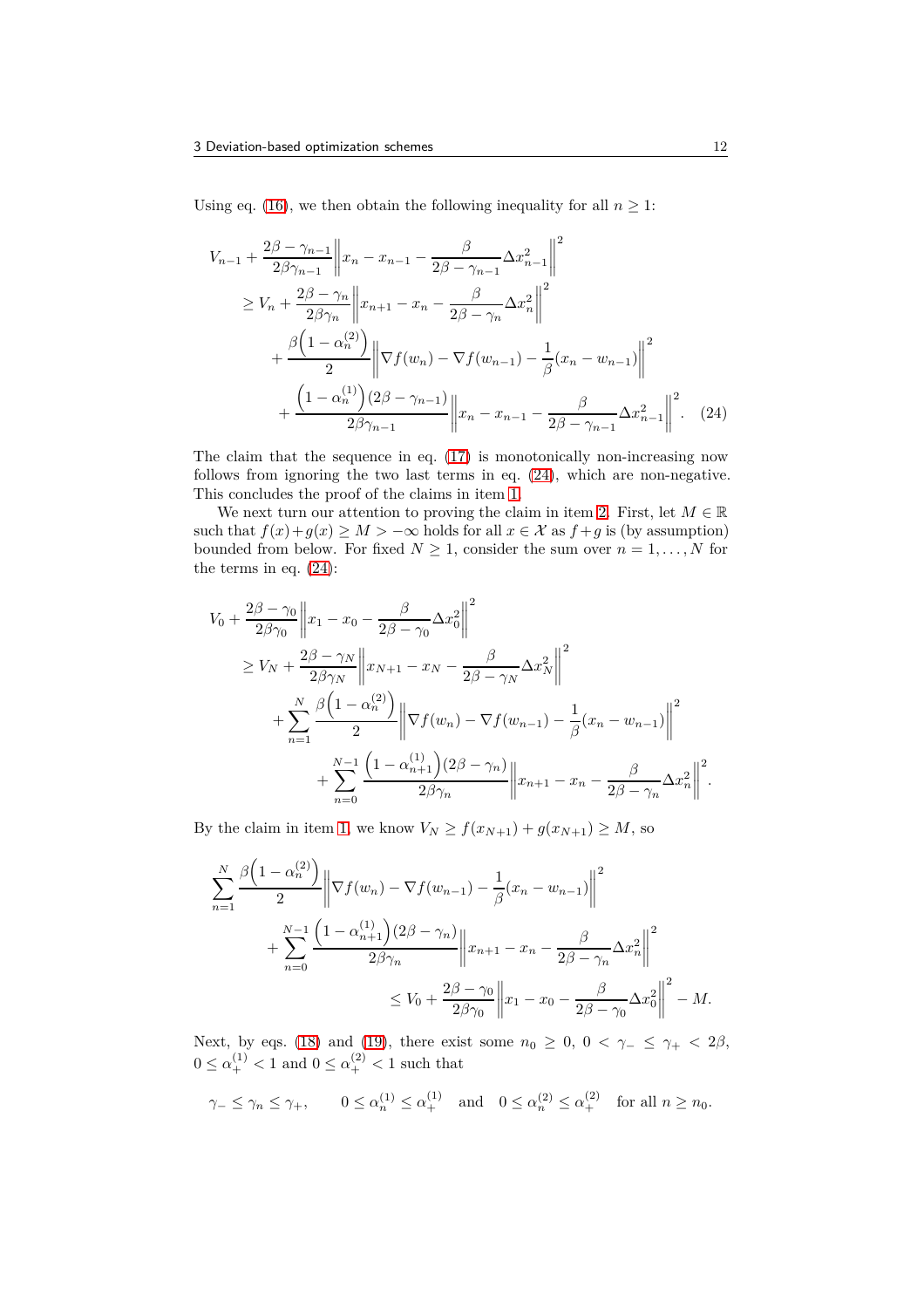Using eq. [\(16\)](#page-9-5), we then obtain the following inequality for all  $n \geq 1$ :

$$
V_{n-1} + \frac{2\beta - \gamma_{n-1}}{2\beta\gamma_{n-1}} \left\| x_n - x_{n-1} - \frac{\beta}{2\beta - \gamma_{n-1}} \Delta x_{n-1}^2 \right\|^2
$$
  
\n
$$
\geq V_n + \frac{2\beta - \gamma_n}{2\beta\gamma_n} \left\| x_{n+1} - x_n - \frac{\beta}{2\beta - \gamma_n} \Delta x_n^2 \right\|^2
$$
  
\n
$$
+ \frac{\beta \left( 1 - \alpha_n^{(2)} \right)}{2} \left\| \nabla f(w_n) - \nabla f(w_{n-1}) - \frac{1}{\beta} (x_n - w_{n-1}) \right\|^2
$$
  
\n
$$
+ \frac{\left( 1 - \alpha_n^{(1)} \right) (2\beta - \gamma_{n-1})}{2\beta\gamma_{n-1}} \left\| x_n - x_{n-1} - \frac{\beta}{2\beta - \gamma_{n-1}} \Delta x_{n-1}^2 \right\|^2. \tag{24}
$$

<span id="page-11-0"></span>The claim that the sequence in eq. [\(17\)](#page-9-3) is monotonically non-increasing now follows from ignoring the two last terms in eq. [\(24\)](#page-11-0), which are non-negative. This concludes the proof of the claims in item [1.](#page-9-2)

We next turn our attention to proving the claim in item [2.](#page-9-0) First, let  $M \in \mathbb{R}$ such that  $f(x)+g(x) \geq M > -\infty$  holds for all  $x \in \mathcal{X}$  as  $f+g$  is (by assumption) bounded from below. For fixed  $N \geq 1$ , consider the sum over  $n = 1, \ldots, N$  for the terms in eq. [\(24\)](#page-11-0):

$$
V_0 + \frac{2\beta - \gamma_0}{2\beta\gamma_0} \left\| x_1 - x_0 - \frac{\beta}{2\beta - \gamma_0} \Delta x_0^2 \right\|^2
$$
  
\n
$$
\geq V_N + \frac{2\beta - \gamma_N}{2\beta\gamma_N} \left\| x_{N+1} - x_N - \frac{\beta}{2\beta - \gamma_N} \Delta x_N^2 \right\|^2
$$
  
\n
$$
+ \sum_{n=1}^N \frac{\beta \left( 1 - \alpha_n^{(2)} \right)}{2} \left\| \nabla f(w_n) - \nabla f(w_{n-1}) - \frac{1}{\beta} (x_n - w_{n-1}) \right\|^2
$$
  
\n
$$
+ \sum_{n=0}^{N-1} \frac{\left( 1 - \alpha_{n+1}^{(1)} \right) (2\beta - \gamma_n)}{2\beta\gamma_n} \left\| x_{n+1} - x_n - \frac{\beta}{2\beta - \gamma_n} \Delta x_n^2 \right\|^2.
$$

By the claim in item [1,](#page-9-2) we know  $V_N \ge f(x_{N+1}) + g(x_{N+1}) \ge M$ , so

$$
\sum_{n=1}^{N} \frac{\beta \left(1 - \alpha_n^{(2)}\right)}{2} \left\| \nabla f(w_n) - \nabla f(w_{n-1}) - \frac{1}{\beta} (x_n - w_{n-1}) \right\|^2 + \sum_{n=0}^{N-1} \frac{\left(1 - \alpha_{n+1}^{(1)}\right) (2\beta - \gamma_n)}{2\beta\gamma_n} \left\| x_{n+1} - x_n - \frac{\beta}{2\beta - \gamma_n} \Delta x_n^2 \right\|^2 \le V_0 + \frac{2\beta - \gamma_0}{2\beta\gamma_0} \left\| x_1 - x_0 - \frac{\beta}{2\beta - \gamma_0} \Delta x_0^2 \right\|^2 - M.
$$

Next, by eqs. [\(18\)](#page-9-6) and [\(19\)](#page-9-7), there exist some  $n_0 \geq 0$ ,  $0 < \gamma_- \leq \gamma_+ < 2\beta$ ,  $0 \leq \alpha_{+}^{(1)} < 1$  and  $0 \leq \alpha_{+}^{(2)} < 1$  such that

$$
\gamma_- \le \gamma_n \le \gamma_+, \qquad 0 \le \alpha_n^{(1)} \le \alpha_+^{(1)} \quad \text{and} \quad 0 \le \alpha_n^{(2)} \le \alpha_+^{(2)} \quad \text{for all } n \ge n_0.
$$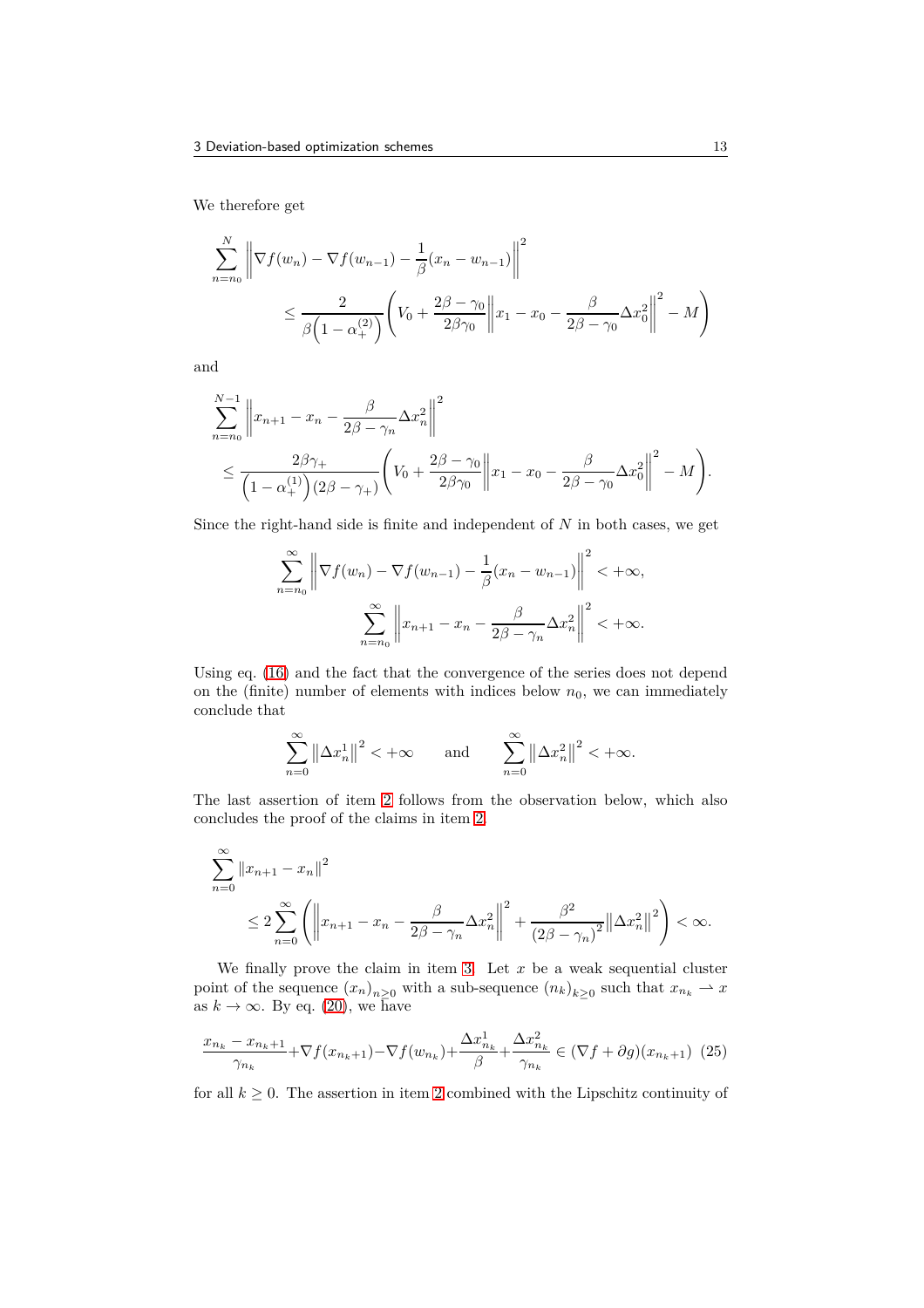We therefore get

$$
\sum_{n=n_0}^{N} \left\| \nabla f(w_n) - \nabla f(w_{n-1}) - \frac{1}{\beta} (x_n - w_{n-1}) \right\|^2
$$
  

$$
\leq \frac{2}{\beta \left( 1 - \alpha_+^{(2)} \right)} \left( V_0 + \frac{2\beta - \gamma_0}{2\beta \gamma_0} \left\| x_1 - x_0 - \frac{\beta}{2\beta - \gamma_0} \Delta x_0^2 \right\|^2 - M \right)
$$

and

$$
\sum_{n=n_0}^{N-1} \left\| x_{n+1} - x_n - \frac{\beta}{2\beta - \gamma_n} \Delta x_n^2 \right\|^2
$$
  
\n
$$
\leq \frac{2\beta\gamma_+}{\left( 1 - \alpha_+^{(1)} \right) \left( 2\beta - \gamma_+ \right)} \left( V_0 + \frac{2\beta - \gamma_0}{2\beta\gamma_0} \left\| x_1 - x_0 - \frac{\beta}{2\beta - \gamma_0} \Delta x_0^2 \right\|^2 - M \right).
$$

Since the right-hand side is finite and independent of *N* in both cases, we get

$$
\sum_{n=n_0}^{\infty} \left\| \nabla f(w_n) - \nabla f(w_{n-1}) - \frac{1}{\beta} (x_n - w_{n-1}) \right\|^2 < +\infty,
$$

$$
\sum_{n=n_0}^{\infty} \left\| x_{n+1} - x_n - \frac{\beta}{2\beta - \gamma_n} \Delta x_n^2 \right\|^2 < +\infty.
$$

Using eq. [\(16\)](#page-9-5) and the fact that the convergence of the series does not depend on the (finite) number of elements with indices below  $n_0$ , we can immediately conclude that

$$
\sum_{n=0}^{\infty} \left\| \Delta x_n^1 \right\|^2 < +\infty \quad \text{and} \quad \sum_{n=0}^{\infty} \left\| \Delta x_n^2 \right\|^2 < +\infty.
$$

The last assertion of item [2](#page-9-0) follows from the observation below, which also concludes the proof of the claims in item [2.](#page-9-0)

$$
\sum_{n=0}^{\infty} \|x_{n+1} - x_n\|^2
$$
  
\n
$$
\leq 2 \sum_{n=0}^{\infty} \left( \left\| x_{n+1} - x_n - \frac{\beta}{2\beta - \gamma_n} \Delta x_n^2 \right\|^2 + \frac{\beta^2}{(2\beta - \gamma_n)^2} \left\| \Delta x_n^2 \right\|^2 \right) < \infty.
$$

We finally prove the claim in item [3.](#page-10-0) Let  $x$  be a weak sequential cluster point of the sequence  $(x_n)_{n\geq 0}$  with a sub-sequence  $(n_k)_{k\geq 0}$  such that  $x_{n_k} \to x$ as  $k \to \infty$ . By eq. [\(20\)](#page-10-3), we have

<span id="page-12-0"></span>
$$
\frac{x_{n_k} - x_{n_k+1}}{\gamma_{n_k}} + \nabla f(x_{n_k+1}) - \nabla f(w_{n_k}) + \frac{\Delta x_{n_k}^1}{\beta} + \frac{\Delta x_{n_k}^2}{\gamma_{n_k}} \in (\nabla f + \partial g)(x_{n_k+1}) \tag{25}
$$

for all  $k \geq 0$ . The assertion in item [2](#page-9-0) combined with the Lipschitz continuity of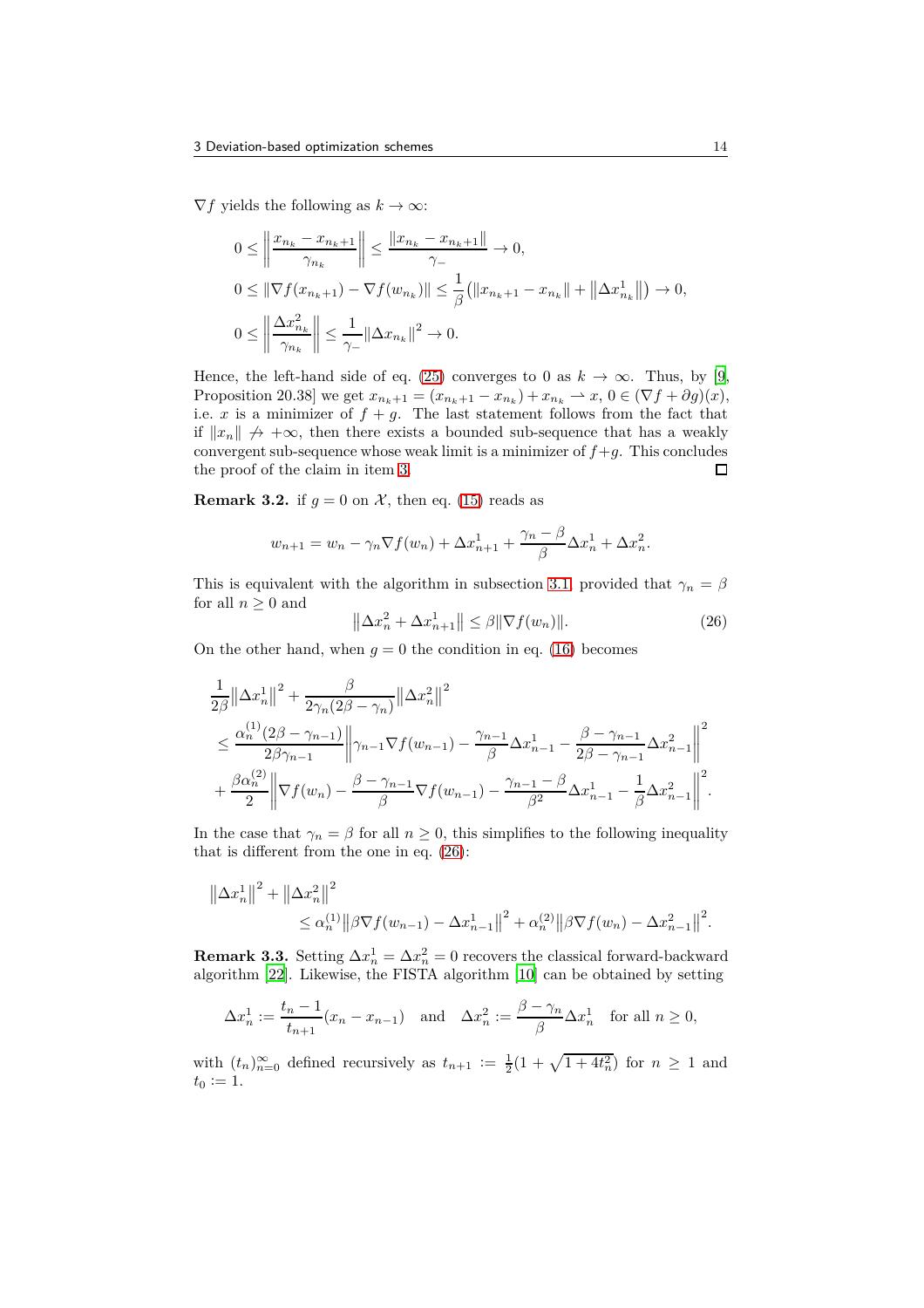$\nabla f$  yields the following as  $k \to \infty$ :

$$
0 \leq \left\| \frac{x_{n_k} - x_{n_k+1}}{\gamma_{n_k}} \right\| \leq \frac{\left\| x_{n_k} - x_{n_k+1} \right\|}{\gamma_-} \to 0,
$$
  
\n
$$
0 \leq \left\| \nabla f(x_{n_k+1}) - \nabla f(w_{n_k}) \right\| \leq \frac{1}{\beta} \left( \left\| x_{n_k+1} - x_{n_k} \right\| + \left\| \Delta x_{n_k}^1 \right\| \right) \to 0,
$$
  
\n
$$
0 \leq \left\| \frac{\Delta x_{n_k}^2}{\gamma_{n_k}} \right\| \leq \frac{1}{\gamma_-} \left\| \Delta x_{n_k} \right\|^2 \to 0.
$$

Hence, the left-hand side of eq. [\(25\)](#page-12-0) converges to 0 as  $k \to \infty$ . Thus, by [\[9](#page-25-6), Proposition 20.38] we get  $x_{n_k+1} = (x_{n_k+1} - x_{n_k}) + x_{n_k} \to x, 0 \in (\nabla f + \partial g)(x),$ i.e. *x* is a minimizer of  $f + g$ . The last statement follows from the fact that if  $||x_n|| \nrightarrow{A} +\infty$ , then there exists a bounded sub-sequence that has a weakly convergent sub-sequence whose weak limit is a minimizer of  $f+g$ . This concludes the proof of the claim in item [3.](#page-10-0)  $\Box$ 

**Remark 3.2.** if  $g = 0$  on  $\mathcal{X}$ , then eq. [\(15\)](#page-9-8) reads as

$$
w_{n+1} = w_n - \gamma_n \nabla f(w_n) + \Delta x_{n+1}^1 + \frac{\gamma_n - \beta}{\beta} \Delta x_n^1 + \Delta x_n^2.
$$

This is equivalent with the algorithm in subsection [3.1,](#page-5-0) provided that  $\gamma_n = \beta$ for all  $n \geq 0$  and

<span id="page-13-0"></span>
$$
\left\|\Delta x_n^2 + \Delta x_{n+1}^1\right\| \le \beta \|\nabla f(w_n)\|.\tag{26}
$$

On the other hand, when  $g = 0$  the condition in eq. [\(16\)](#page-9-5) becomes

$$
\frac{1}{2\beta} ||\Delta x_n^1||^2 + \frac{\beta}{2\gamma_n(2\beta - \gamma_n)} ||\Delta x_n^2||^2
$$
\n
$$
\leq \frac{\alpha_n^{(1)}(2\beta - \gamma_{n-1})}{2\beta\gamma_{n-1}} ||\gamma_{n-1} \nabla f(w_{n-1}) - \frac{\gamma_{n-1}}{\beta} \Delta x_{n-1}^1 - \frac{\beta - \gamma_{n-1}}{2\beta - \gamma_{n-1}} \Delta x_{n-1}^2 ||^2
$$
\n
$$
+ \frac{\beta \alpha_n^{(2)}}{2} ||\nabla f(w_n) - \frac{\beta - \gamma_{n-1}}{\beta} \nabla f(w_{n-1}) - \frac{\gamma_{n-1} - \beta}{\beta^2} \Delta x_{n-1}^1 - \frac{1}{\beta} \Delta x_{n-1}^2 ||^2.
$$

In the case that  $\gamma_n = \beta$  for all  $n \geq 0$ , this simplifies to the following inequality that is different from the one in eq. [\(26\)](#page-13-0):

$$
\|\Delta x_n^1\|^2 + \|\Delta x_n^2\|^2 \leq \alpha_n^{(1)} \|\beta \nabla f(w_{n-1}) - \Delta x_{n-1}^1\|^2 + \alpha_n^{(2)} \|\beta \nabla f(w_n) - \Delta x_{n-1}^2\|^2.
$$

**Remark 3.3.** Setting  $\Delta x_n^1 = \Delta x_n^2 = 0$  recovers the classical forward-backward algorithm [\[22](#page-26-1)]. Likewise, the FISTA algorithm [\[10\]](#page-25-1) can be obtained by setting

$$
\Delta x_n^1 := \frac{t_n - 1}{t_{n+1}} (x_n - x_{n-1}) \quad \text{and} \quad \Delta x_n^2 := \frac{\beta - \gamma_n}{\beta} \Delta x_n^1 \quad \text{for all } n \ge 0,
$$

with  $(t_n)_{n=0}^{\infty}$  defined recursively as  $t_{n+1} := \frac{1}{2}(1 + \sqrt{1 + 4t_n^2})$  for  $n \ge 1$  and  $t_0 := 1.$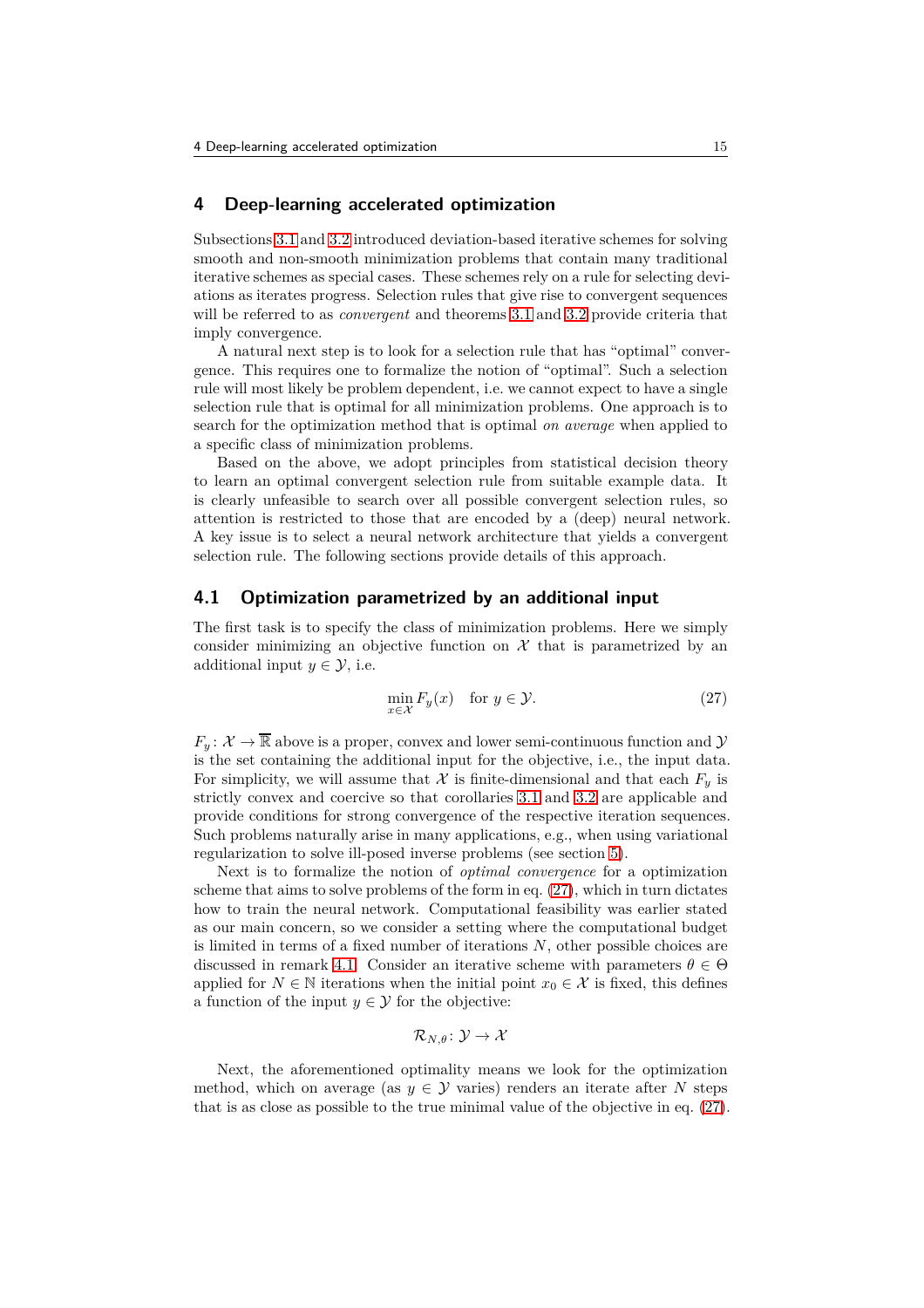#### <span id="page-14-0"></span>**4 Deep-learning accelerated optimization**

Subsections [3.1](#page-5-0) and [3.2](#page-8-0) introduced deviation-based iterative schemes for solving smooth and non-smooth minimization problems that contain many traditional iterative schemes as special cases. These schemes rely on a rule for selecting deviations as iterates progress. Selection rules that give rise to convergent sequences will be referred to as *convergent* and theorems [3.1](#page-5-2) and [3.2](#page-9-1) provide criteria that imply convergence.

A natural next step is to look for a selection rule that has "optimal" convergence. This requires one to formalize the notion of "optimal". Such a selection rule will most likely be problem dependent, i.e. we cannot expect to have a single selection rule that is optimal for all minimization problems. One approach is to search for the optimization method that is optimal *on average* when applied to a specific class of minimization problems.

Based on the above, we adopt principles from statistical decision theory to learn an optimal convergent selection rule from suitable example data. It is clearly unfeasible to search over all possible convergent selection rules, so attention is restricted to those that are encoded by a (deep) neural network. A key issue is to select a neural network architecture that yields a convergent selection rule. The following sections provide details of this approach.

#### **4.1 Optimization parametrized by an additional input**

The first task is to specify the class of minimization problems. Here we simply consider minimizing an objective function on  $\mathcal X$  that is parametrized by an additional input  $y \in \mathcal{Y}$ , i.e.

<span id="page-14-1"></span>
$$
\min_{x \in \mathcal{X}} F_y(x) \quad \text{for } y \in \mathcal{Y}.\tag{27}
$$

 $F_y: \mathcal{X} \to \mathbb{R}$  above is a proper, convex and lower semi-continuous function and  $\mathcal{Y}$ is the set containing the additional input for the objective, i.e., the input data. For simplicity, we will assume that  $\mathcal X$  is finite-dimensional and that each  $F_y$  is strictly convex and coercive so that corollaries [3.1](#page-6-3) and [3.2](#page-10-4) are applicable and provide conditions for strong convergence of the respective iteration sequences. Such problems naturally arise in many applications, e.g., when using variational regularization to solve ill-posed inverse problems (see section [5\)](#page-17-0).

Next is to formalize the notion of *optimal convergence* for a optimization scheme that aims to solve problems of the form in eq. [\(27\)](#page-14-1), which in turn dictates how to train the neural network. Computational feasibility was earlier stated as our main concern, so we consider a setting where the computational budget is limited in terms of a fixed number of iterations *N*, other possible choices are discussed in remark [4.1.](#page-15-0) Consider an iterative scheme with parameters  $\theta \in \Theta$ applied for  $N \in \mathbb{N}$  iterations when the initial point  $x_0 \in \mathcal{X}$  is fixed, this defines a function of the input  $y \in \mathcal{Y}$  for the objective:

$$
\mathcal{R}_{N,\theta} \colon \mathcal{Y} \to \mathcal{X}
$$

Next, the aforementioned optimality means we look for the optimization method, which on average (as  $y \in \mathcal{Y}$  varies) renders an iterate after N steps that is as close as possible to the true minimal value of the objective in eq. [\(27\)](#page-14-1).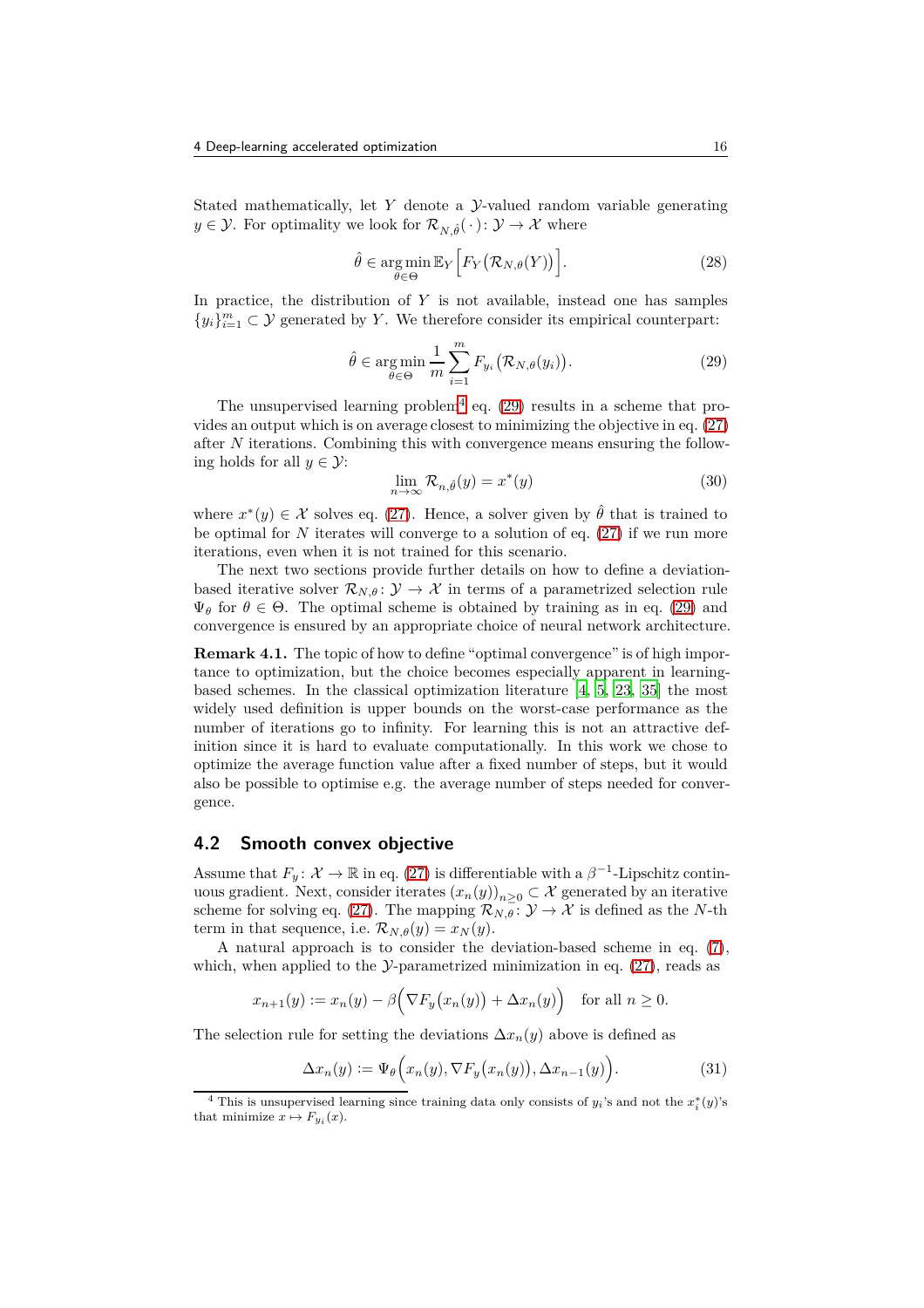Stated mathematically, let *Y* denote a *y*-valued random variable generating  $y \in \mathcal{Y}$ . For optimality we look for  $\mathcal{R}_{N,\hat{\theta}}(\cdot): \mathcal{Y} \to \mathcal{X}$  where

$$
\hat{\theta} \in \underset{\theta \in \Theta}{\arg \min} \mathbb{E}_Y \Big[ F_Y \big( \mathcal{R}_{N,\theta}(Y) \big) \Big]. \tag{28}
$$

In practice, the distribution of *Y* is not available, instead one has samples  ${y_i}_{i=1}^m$  ⊂ *Y* generated by *Y*. We therefore consider its empirical counterpart:

<span id="page-15-2"></span>
$$
\hat{\theta} \in \underset{\theta \in \Theta}{\text{arg min}} \frac{1}{m} \sum_{i=1}^{m} F_{y_i} \big( \mathcal{R}_{N, \theta}(y_i) \big). \tag{29}
$$

The unsupervised learning problem<sup>[4](#page-15-1)</sup> eq.  $(29)$  results in a scheme that provides an output which is on average closest to minimizing the objective in eq. [\(27\)](#page-14-1) after *N* iterations. Combining this with convergence means ensuring the following holds for all  $y \in \mathcal{Y}$ :

<span id="page-15-5"></span>
$$
\lim_{n \to \infty} \mathcal{R}_{n,\hat{\theta}}(y) = x^*(y) \tag{30}
$$

where  $x^*(y) \in \mathcal{X}$  solves eq. [\(27\)](#page-14-1). Hence, a solver given by  $\hat{\theta}$  that is trained to be optimal for *N* iterates will converge to a solution of eq. [\(27\)](#page-14-1) if we run more iterations, even when it is not trained for this scenario.

The next two sections provide further details on how to define a deviationbased iterative solver  $\mathcal{R}_{N,\theta}$ :  $\mathcal{Y} \to \mathcal{X}$  in terms of a parametrized selection rule  $\Psi_{\theta}$  for  $\theta \in \Theta$ . The optimal scheme is obtained by training as in eq. [\(29\)](#page-15-2) and convergence is ensured by an appropriate choice of neural network architecture.

<span id="page-15-0"></span>**Remark 4.1.** The topic of how to define "optimal convergence" is of high importance to optimization, but the choice becomes especially apparent in learningbased schemes. In the classical optimization literature [\[4,](#page-25-9) [5,](#page-25-10) [23](#page-26-12), [35](#page-26-13)] the most widely used definition is upper bounds on the worst-case performance as the number of iterations go to infinity. For learning this is not an attractive definition since it is hard to evaluate computationally. In this work we chose to optimize the average function value after a fixed number of steps, but it would also be possible to optimise e.g. the average number of steps needed for convergence.

#### <span id="page-15-4"></span>**4.2 Smooth convex objective**

Assume that  $F_y: \mathcal{X} \to \mathbb{R}$  in eq. [\(27\)](#page-14-1) is differentiable with a  $\beta^{-1}$ -Lipschitz continuous gradient. Next, consider iterates  $(x_n(y))_{n>0} \subset \mathcal{X}$  generated by an iterative scheme for solving eq. [\(27\)](#page-14-1). The mapping  $\mathcal{R}_{N,\theta}$ :  $\mathcal{Y} \to \mathcal{X}$  is defined as the *N*-th term in that sequence, i.e.  $\mathcal{R}_{N,\theta}(y) = x_N(y)$ .

A natural approach is to consider the deviation-based scheme in eq. [\(7\)](#page-5-5), which, when applied to the  $\mathcal{Y}$ -parametrized minimization in eq. [\(27\)](#page-14-1), reads as

$$
x_{n+1}(y) := x_n(y) - \beta \Big( \nabla F_y(x_n(y)) + \Delta x_n(y) \Big) \quad \text{for all } n \ge 0.
$$

The selection rule for setting the deviations  $\Delta x_n(y)$  above is defined as

<span id="page-15-3"></span>
$$
\Delta x_n(y) := \Psi_\theta\Big(x_n(y), \nabla F_y\big(x_n(y)\big), \Delta x_{n-1}(y)\Big). \tag{31}
$$

<span id="page-15-1"></span><sup>&</sup>lt;sup>4</sup> This is unsupervised learning since training data only consists of  $y_i$ 's and not the  $x_i^*(y)$ 's that minimize  $x \mapsto F_{y_i}(x)$ .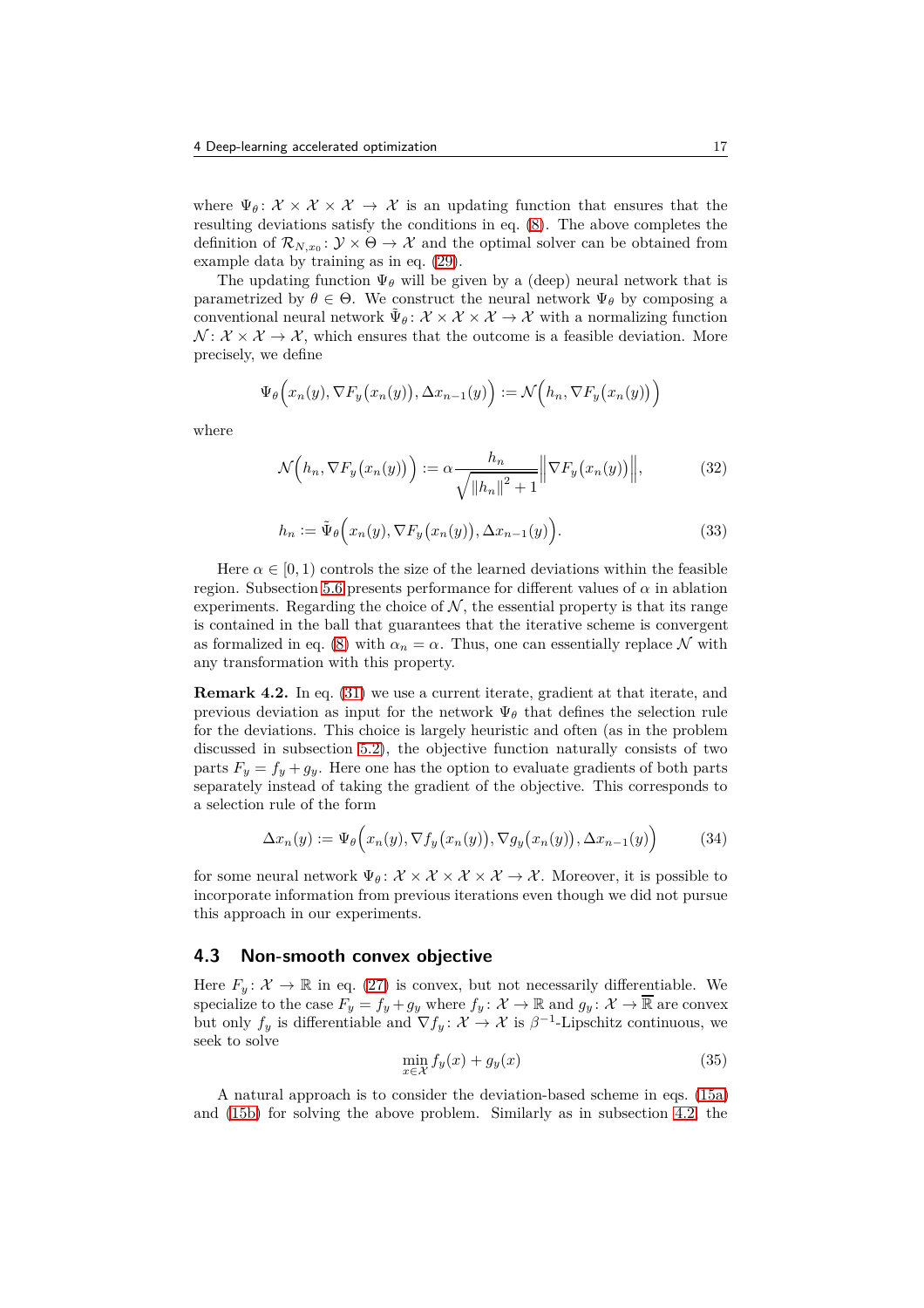where  $\Psi_{\theta}$ :  $\mathcal{X} \times \mathcal{X} \times \mathcal{X} \to \mathcal{X}$  is an updating function that ensures that the resulting deviations satisfy the conditions in eq. [\(8\)](#page-5-6). The above completes the definition of  $\mathcal{R}_{N,x_0} \colon \mathcal{Y} \times \Theta \to \mathcal{X}$  and the optimal solver can be obtained from example data by training as in eq. [\(29\)](#page-15-2).

The updating function  $\Psi_{\theta}$  will be given by a (deep) neural network that is parametrized by  $\theta \in \Theta$ . We construct the neural network  $\Psi_{\theta}$  by composing a conventional neural network  $\tilde{\Psi}_{\theta} : \mathcal{X} \times \mathcal{X} \times \mathcal{X} \to \mathcal{X}$  with a normalizing function  $\mathcal{N} : \mathcal{X} \times \mathcal{X} \to \mathcal{X}$ , which ensures that the outcome is a feasible deviation. More precisely, we define

$$
\Psi_{\theta}\Big(x_n(y), \nabla F_y\big(x_n(y)\big), \Delta x_{n-1}(y)\Big) := \mathcal{N}\Big(h_n, \nabla F_y\big(x_n(y)\big)\Big)
$$

where

<span id="page-16-0"></span>
$$
\mathcal{N}\left(h_n, \nabla F_y\big(x_n(y)\big)\right) := \alpha \frac{h_n}{\sqrt{\|h_n\|^2 + 1}} \left\| \nabla F_y\big(x_n(y)\big) \right\|,\tag{32}
$$

$$
h_n := \tilde{\Psi}_{\theta}\Big(x_n(y), \nabla F_y\big(x_n(y)\big), \Delta x_{n-1}(y)\Big). \tag{33}
$$

Here  $\alpha \in [0, 1)$  controls the size of the learned deviations within the feasible region. Subsection [5.6](#page-21-0) presents performance for different values of  $\alpha$  in ablation experiments. Regarding the choice of  $\mathcal{N}$ , the essential property is that its range is contained in the ball that guarantees that the iterative scheme is convergent as formalized in eq. [\(8\)](#page-5-6) with  $\alpha_n = \alpha$ . Thus, one can essentially replace N with any transformation with this property.

**Remark 4.2.** In eq. [\(31\)](#page-15-3) we use a current iterate, gradient at that iterate, and previous deviation as input for the network  $\Psi_{\theta}$  that defines the selection rule for the deviations. This choice is largely heuristic and often (as in the problem discussed in subsection [5.2\)](#page-18-0), the objective function naturally consists of two parts  $F_y = f_y + g_y$ . Here one has the option to evaluate gradients of both parts separately instead of taking the gradient of the objective. This corresponds to a selection rule of the form

$$
\Delta x_n(y) := \Psi_\theta\Big(x_n(y), \nabla f_y\big(x_n(y)\big), \nabla g_y\big(x_n(y)\big), \Delta x_{n-1}(y)\Big) \tag{34}
$$

for some neural network  $\Psi_{\theta}$ :  $\mathcal{X} \times \mathcal{X} \times \mathcal{X} \times \mathcal{X} \to \mathcal{X}$ . Moreover, it is possible to incorporate information from previous iterations even though we did not pursue this approach in our experiments.

## <span id="page-16-1"></span>**4.3 Non-smooth convex objective**

Here  $F_y: \mathcal{X} \to \mathbb{R}$  in eq. [\(27\)](#page-14-1) is convex, but not necessarily differentiable. We specialize to the case  $F_y = f_y + g_y$  where  $f_y: \mathcal{X} \to \mathbb{R}$  and  $g_y: \mathcal{X} \to \mathbb{R}$  are convex but only  $f_y$  is differentiable and  $\nabla f_y: \mathcal{X} \to \mathcal{X}$  is  $\beta^{-1}$ -Lipschitz continuous, we seek to solve

$$
\min_{x \in \mathcal{X}} f_y(x) + g_y(x) \tag{35}
$$

A natural approach is to consider the deviation-based scheme in eqs. [\(15a\)](#page-9-9) and [\(15b\)](#page-9-4) for solving the above problem. Similarly as in subsection [4.2,](#page-15-4) the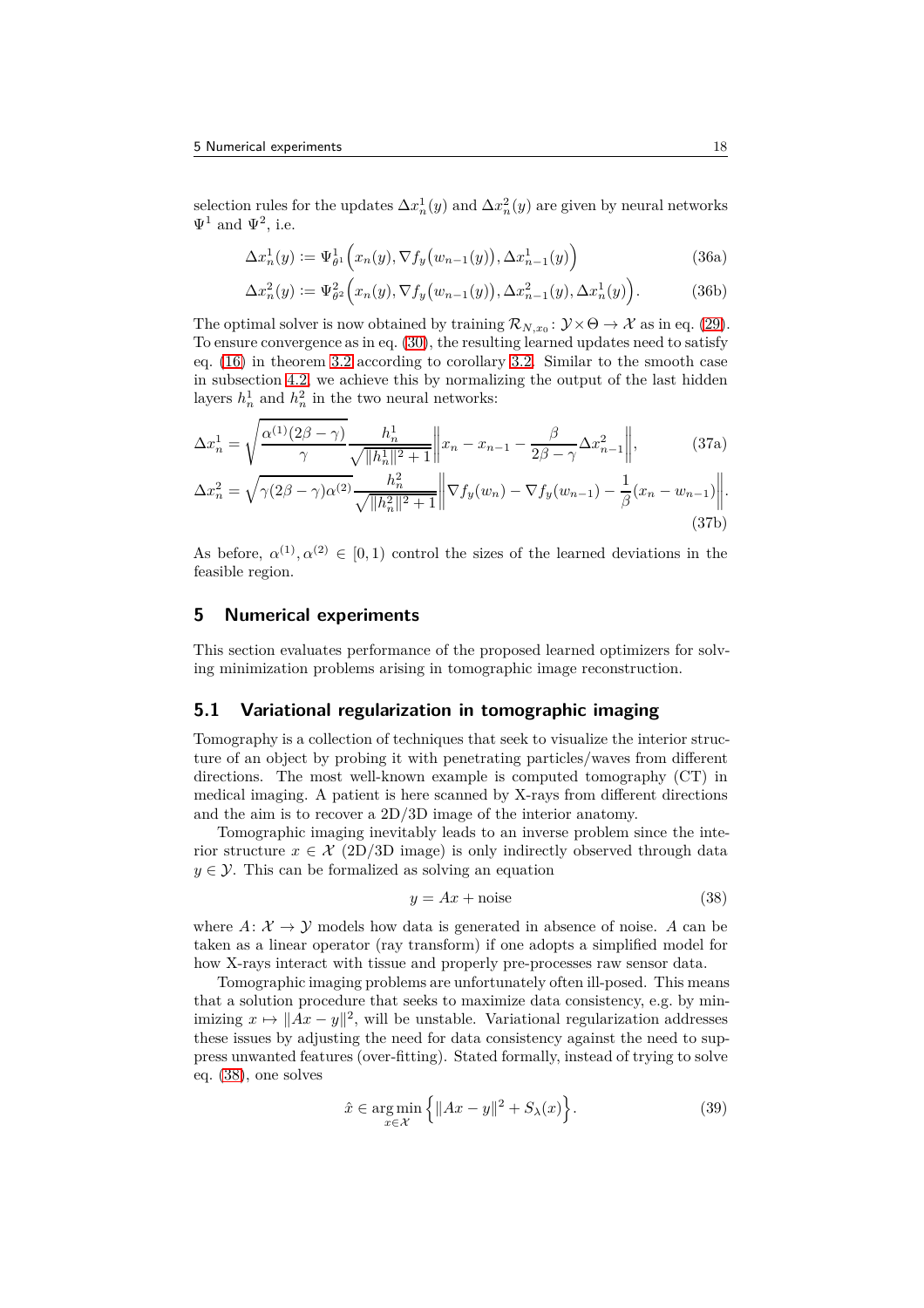selection rules for the updates  $\Delta x_n^1(y)$  and  $\Delta x_n^2(y)$  are given by neural networks  $\Psi^1$  and  $\Psi^2$ , i.e.

<span id="page-17-4"></span>
$$
\Delta x_n^1(y) := \Psi_{\theta^1}^1\Big(x_n(y), \nabla f_y\big(w_{n-1}(y)\big), \Delta x_{n-1}^1(y)\Big) \tag{36a}
$$

<span id="page-17-3"></span>
$$
\Delta x_n^2(y) := \Psi_{\theta^2}^2\Big(x_n(y), \nabla f_y\big(w_{n-1}(y)\big), \Delta x_{n-1}^2(y), \Delta x_n^1(y)\Big). \tag{36b}
$$

The optimal solver is now obtained by training  $\mathcal{R}_{N,x_0} \colon \mathcal{Y} \times \Theta \to \mathcal{X}$  as in eq. [\(29\)](#page-15-2). To ensure convergence as in eq. [\(30\)](#page-15-5), the resulting learned updates need to satisfy eq. [\(16\)](#page-9-5) in theorem [3.2](#page-9-1) according to corollary [3.2.](#page-10-4) Similar to the smooth case in subsection [4.2,](#page-15-4) we achieve this by normalizing the output of the last hidden layers  $h_n^1$  and  $h_n^2$  in the two neural networks:

$$
\Delta x_n^1 = \sqrt{\frac{\alpha^{(1)}(2\beta - \gamma)}{\gamma}} \frac{h_n^1}{\sqrt{\|h_n^1\|^2 + 1}} \left\| x_n - x_{n-1} - \frac{\beta}{2\beta - \gamma} \Delta x_{n-1}^2 \right\|,
$$
\n(37a)

$$
\Delta x_n^2 = \sqrt{\gamma(2\beta - \gamma)\alpha^{(2)}} \frac{h_n^2}{\sqrt{\|h_n^2\|^2 + 1}} \left\| \nabla f_y(w_n) - \nabla f_y(w_{n-1}) - \frac{1}{\beta}(x_n - w_{n-1}) \right\|.
$$
\n(37b)

As before,  $\alpha^{(1)}, \alpha^{(2)} \in [0,1)$  control the sizes of the learned deviations in the feasible region.

#### <span id="page-17-0"></span>**5 Numerical experiments**

This section evaluates performance of the proposed learned optimizers for solving minimization problems arising in tomographic image reconstruction.

#### **5.1 Variational regularization in tomographic imaging**

Tomography is a collection of techniques that seek to visualize the interior structure of an object by probing it with penetrating particles/waves from different directions. The most well-known example is computed tomography (CT) in medical imaging. A patient is here scanned by X-rays from different directions and the aim is to recover a 2D/3D image of the interior anatomy.

Tomographic imaging inevitably leads to an inverse problem since the interior structure  $x \in \mathcal{X}$  (2D/3D image) is only indirectly observed through data  $y \in \mathcal{Y}$ . This can be formalized as solving an equation

<span id="page-17-1"></span>
$$
y = Ax + \text{noise} \tag{38}
$$

where  $A: \mathcal{X} \to \mathcal{Y}$  models how data is generated in absence of noise. A can be taken as a linear operator (ray transform) if one adopts a simplified model for how X-rays interact with tissue and properly pre-processes raw sensor data.

Tomographic imaging problems are unfortunately often ill-posed. This means that a solution procedure that seeks to maximize data consistency, e.g. by minimizing  $x \mapsto ||Ax - y||^2$ , will be unstable. Variational regularization addresses these issues by adjusting the need for data consistency against the need to suppress unwanted features (over-fitting). Stated formally, instead of trying to solve eq. [\(38\)](#page-17-1), one solves

<span id="page-17-2"></span>
$$
\hat{x} \in \underset{x \in \mathcal{X}}{\operatorname{arg\,min}} \left\{ \|Ax - y\|^2 + S_{\lambda}(x) \right\}.
$$
\n(39)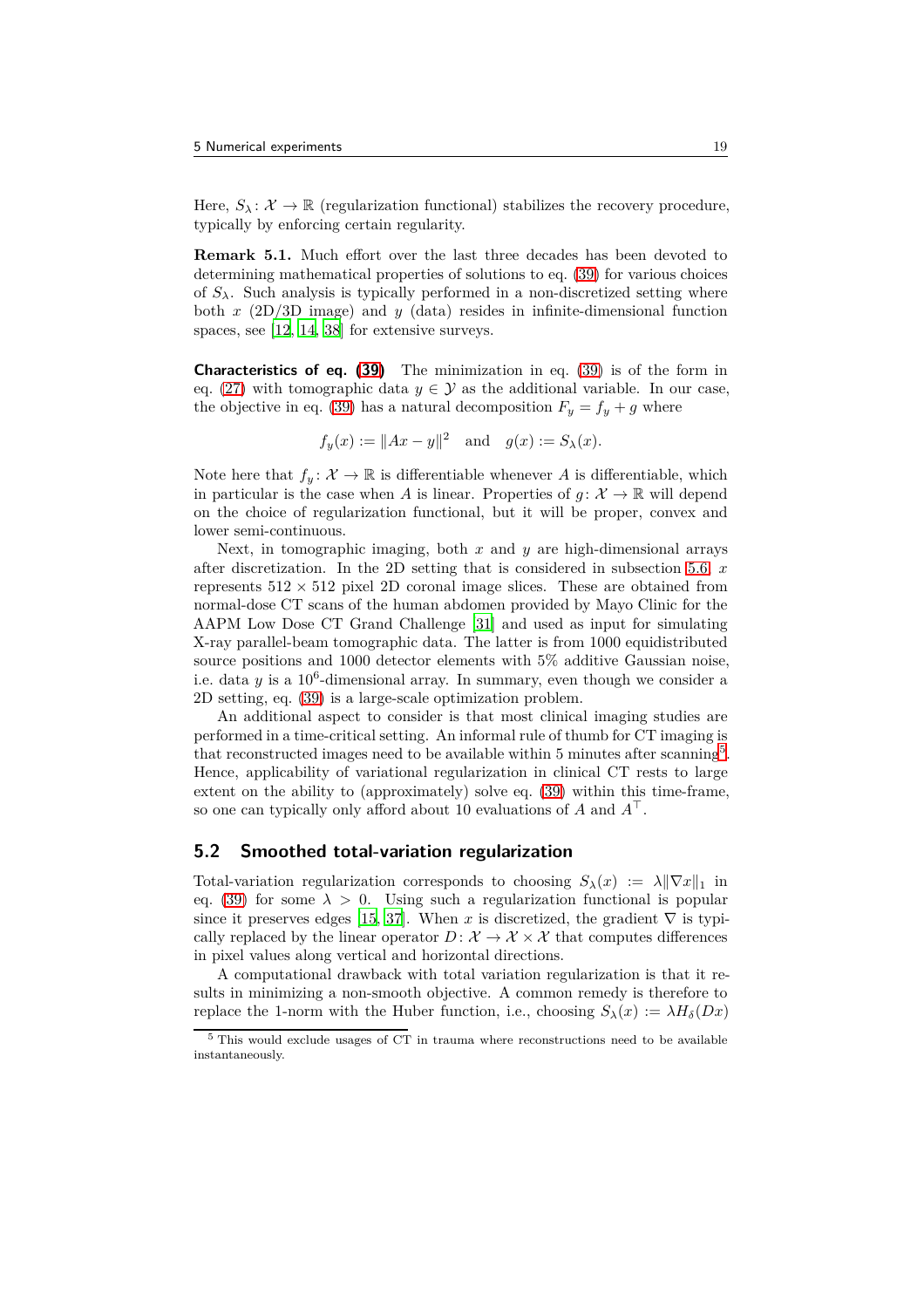Here,  $S_{\lambda} : \mathcal{X} \to \mathbb{R}$  (regularization functional) stabilizes the recovery procedure, typically by enforcing certain regularity.

**Remark 5.1.** Much effort over the last three decades has been devoted to determining mathematical properties of solutions to eq. [\(39\)](#page-17-2) for various choices of  $S_\lambda$ . Such analysis is typically performed in a non-discretized setting where both *x* (2D/3D image) and *y* (data) resides in infinite-dimensional function spaces, see [\[12,](#page-25-11) [14](#page-25-12), [38\]](#page-27-3) for extensive surveys.

**Characteristics of eq. [\(39\)](#page-17-2)** The minimization in eq. [\(39\)](#page-17-2) is of the form in eq. [\(27\)](#page-14-1) with tomographic data  $y \in \mathcal{Y}$  as the additional variable. In our case, the objective in eq. [\(39\)](#page-17-2) has a natural decomposition  $F_y = f_y + g$  where

$$
f_y(x) := ||Ax - y||^2
$$
 and  $g(x) := S_{\lambda}(x)$ .

Note here that  $f_y: \mathcal{X} \to \mathbb{R}$  is differentiable whenever *A* is differentiable, which in particular is the case when *A* is linear. Properties of  $g: \mathcal{X} \to \mathbb{R}$  will depend on the choice of regularization functional, but it will be proper, convex and lower semi-continuous.

Next, in tomographic imaging, both *x* and *y* are high-dimensional arrays after discretization. In the 2D setting that is considered in subsection [5.6,](#page-21-0) *x* represents  $512 \times 512$  pixel 2D coronal image slices. These are obtained from normal-dose CT scans of the human abdomen provided by Mayo Clinic for the AAPM Low Dose CT Grand Challenge [\[31\]](#page-26-14) and used as input for simulating X-ray parallel-beam tomographic data. The latter is from 1000 equidistributed source positions and 1000 detector elements with 5% additive Gaussian noise, i.e. data  $y$  is a  $10^6$ -dimensional array. In summary, even though we consider a 2D setting, eq. [\(39\)](#page-17-2) is a large-scale optimization problem.

An additional aspect to consider is that most clinical imaging studies are performed in a time-critical setting. An informal rule of thumb for CT imaging is that reconstructed images need to be available within [5](#page-18-1) minutes after scanning<sup>5</sup>. Hence, applicability of variational regularization in clinical CT rests to large extent on the ability to (approximately) solve eq. [\(39\)](#page-17-2) within this time-frame, so one can typically only afford about 10 evaluations of *A* and *A*<sup>⊤</sup>.

#### <span id="page-18-0"></span>**5.2 Smoothed total-variation regularization**

Total-variation regularization corresponds to choosing  $S_\lambda(x) := \lambda \|\nabla x\|_1$  in eq. [\(39\)](#page-17-2) for some  $\lambda > 0$ . Using such a regularization functional is popular since it preserves edges [\[15,](#page-25-13) [37\]](#page-27-4). When x is discretized, the gradient  $\nabla$  is typically replaced by the linear operator  $D: \mathcal{X} \to \mathcal{X} \times \mathcal{X}$  that computes differences in pixel values along vertical and horizontal directions.

A computational drawback with total variation regularization is that it results in minimizing a non-smooth objective. A common remedy is therefore to replace the 1-norm with the Huber function, i.e., choosing  $S_\lambda(x) := \lambda H_\delta(Dx)$ 

<span id="page-18-1"></span><sup>5</sup> This would exclude usages of CT in trauma where reconstructions need to be available instantaneously.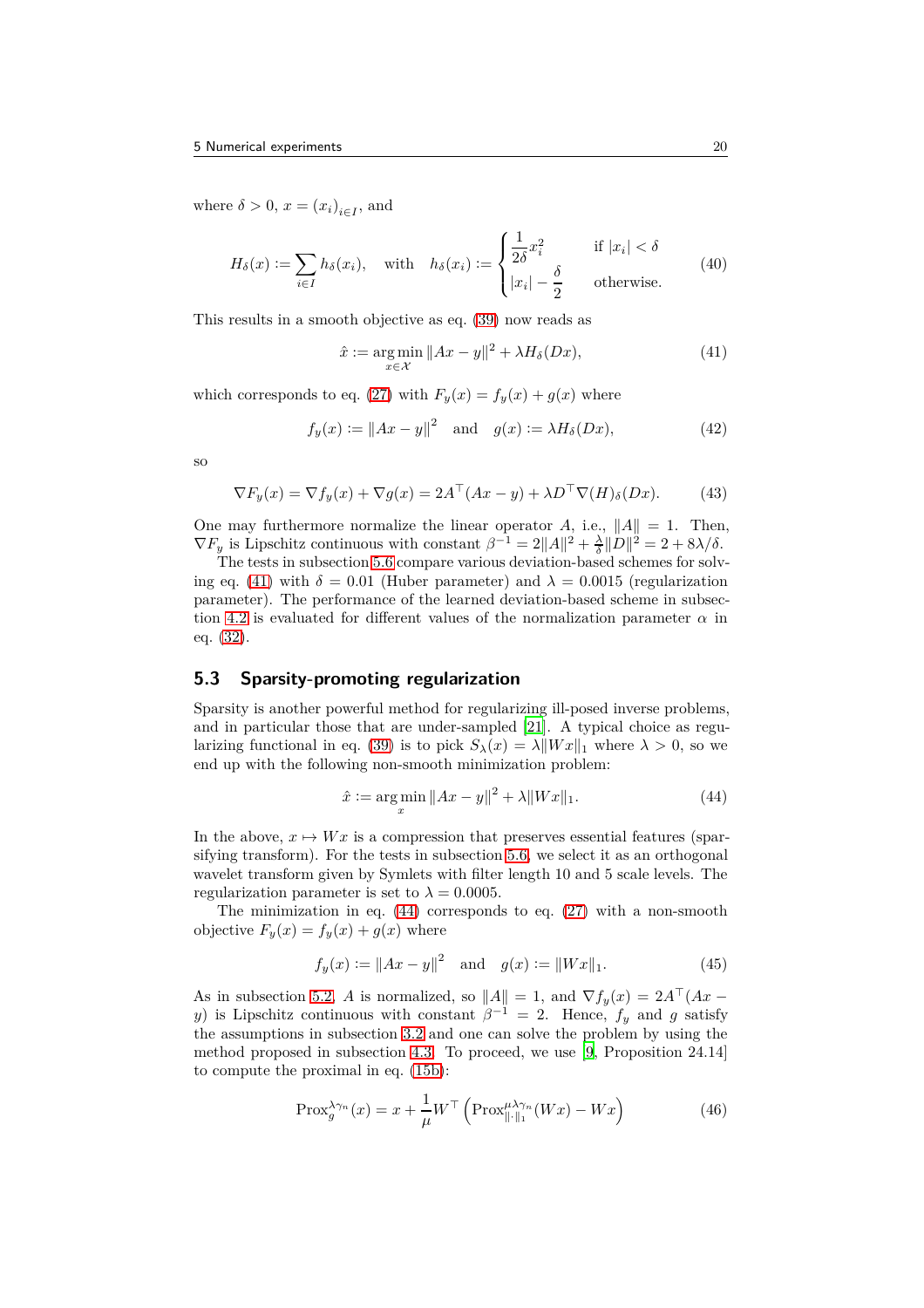where  $\delta > 0$ ,  $x = (x_i)_{i \in I}$ , and

$$
H_{\delta}(x) := \sum_{i \in I} h_{\delta}(x_i), \quad \text{with} \quad h_{\delta}(x_i) := \begin{cases} \frac{1}{2\delta} x_i^2 & \text{if } |x_i| < \delta \\ |x_i| - \frac{\delta}{2} & \text{otherwise.} \end{cases} \tag{40}
$$

This results in a smooth objective as eq. [\(39\)](#page-17-2) now reads as

<span id="page-19-0"></span>
$$
\hat{x} := \underset{x \in \mathcal{X}}{\arg \min} \|Ax - y\|^2 + \lambda H_\delta(Dx),\tag{41}
$$

which corresponds to eq. [\(27\)](#page-14-1) with  $F_y(x) = f_y(x) + g(x)$  where

$$
f_y(x) := \|Ax - y\|^2 \quad \text{and} \quad g(x) := \lambda H_\delta(Dx), \tag{42}
$$

sc

$$
\nabla F_y(x) = \nabla f_y(x) + \nabla g(x) = 2A^\top (Ax - y) + \lambda D^\top \nabla (H)_{\delta}(Dx). \tag{43}
$$

One may furthermore normalize the linear operator A, i.e.,  $||A|| = 1$ . Then,  $\nabla F_y$  is Lipschitz continuous with constant  $\beta^{-1} = 2||A||^2 + \frac{\lambda}{\delta}||D||^2 = 2 + 8\lambda/\delta$ .

The tests in subsection [5.6](#page-21-0) compare various deviation-based schemes for solv-ing eq. [\(41\)](#page-19-0) with  $\delta = 0.01$  (Huber parameter) and  $\lambda = 0.0015$  (regularization parameter). The performance of the learned deviation-based scheme in subsec-tion [4.2](#page-15-4) is evaluated for different values of the normalization parameter  $\alpha$  in eq. [\(32\)](#page-16-0).

#### **5.3 Sparsity-promoting regularization**

Sparsity is another powerful method for regularizing ill-posed inverse problems, and in particular those that are under-sampled [\[21](#page-26-15)]. A typical choice as regu-larizing functional in eq. [\(39\)](#page-17-2) is to pick  $S_\lambda(x) = \lambda ||Wx||_1$  where  $\lambda > 0$ , so we end up with the following non-smooth minimization problem:

<span id="page-19-1"></span>
$$
\hat{x} := \underset{x}{\arg \min} \|Ax - y\|^2 + \lambda \|Wx\|_1. \tag{44}
$$

In the above,  $x \mapsto Wx$  is a compression that preserves essential features (sparsifying transform). For the tests in subsection [5.6,](#page-21-0) we select it as an orthogonal wavelet transform given by Symlets with filter length 10 and 5 scale levels. The regularization parameter is set to  $\lambda = 0.0005$ .

The minimization in eq.  $(44)$  corresponds to eq.  $(27)$  with a non-smooth objective  $F_y(x) = f_y(x) + g(x)$  where

$$
f_y(x) := \|Ax - y\|^2 \quad \text{and} \quad g(x) := \|Wx\|_1. \tag{45}
$$

As in subsection [5.2,](#page-18-0) *A* is normalized, so  $||A|| = 1$ , and  $\nabla f_y(x) = 2A^\top (Ax$ *y*) is Lipschitz continuous with constant  $\beta^{-1} = 2$ . Hence,  $f_y$  and *g* satisfy the assumptions in subsection [3.2](#page-8-0) and one can solve the problem by using the method proposed in subsection [4.3.](#page-16-1) To proceed, we use [\[9](#page-25-6), Proposition 24.14] to compute the proximal in eq. [\(15b\)](#page-9-4):

$$
\text{Prox}_{g}^{\lambda\gamma_{n}}(x) = x + \frac{1}{\mu} W^{\top} \left( \text{Prox}_{\|\cdot\|_{1}}^{\mu\lambda\gamma_{n}}(Wx) - Wx \right)
$$
(46)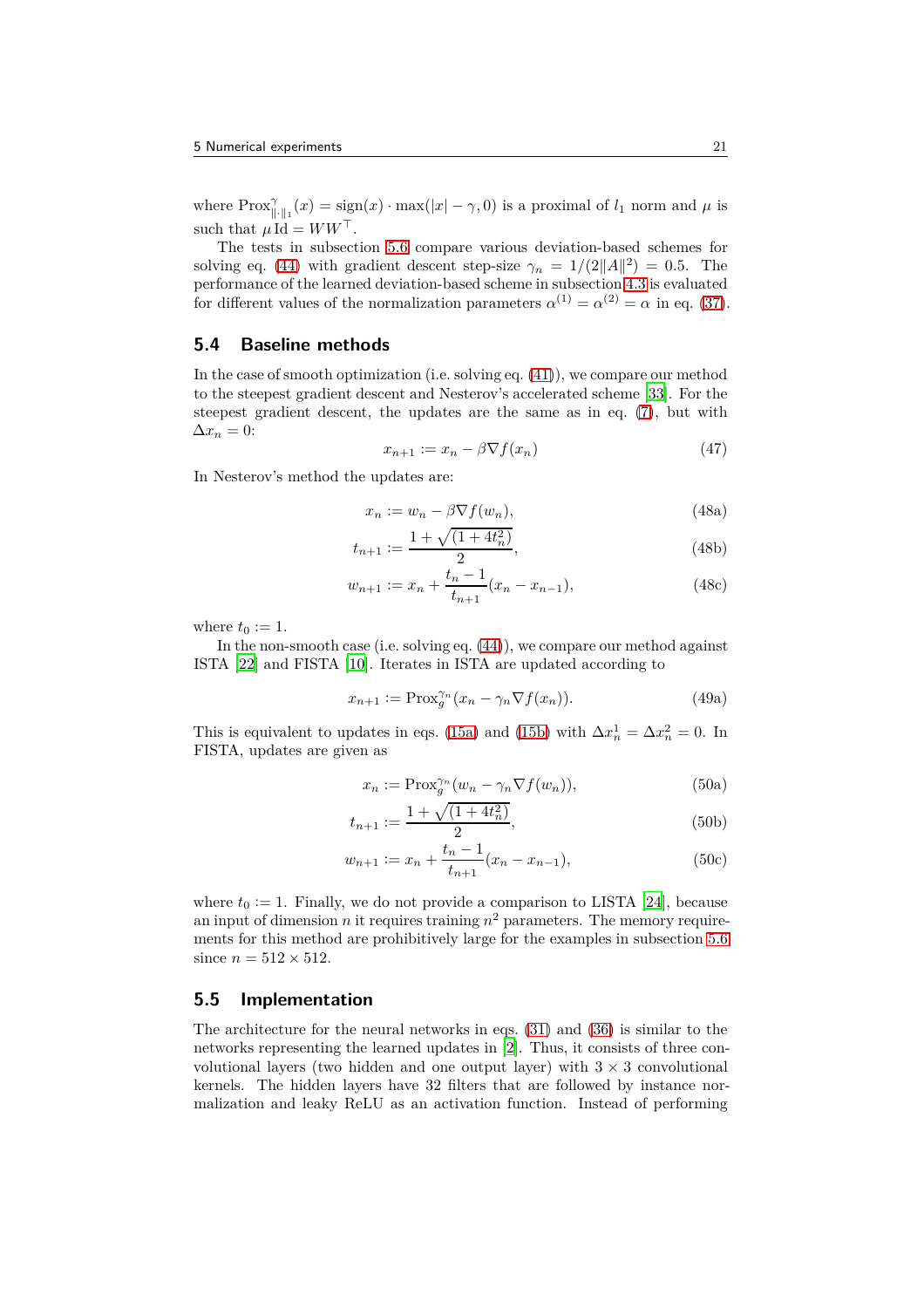where  $\text{Prox}_{\|\cdot\|_1}^{\gamma}(x) = \text{sign}(x) \cdot \text{max}(|x| - \gamma, 0)$  is a proximal of  $l_1$  norm and  $\mu$  is such that  $\mu \, \mathrm{Id} = WW^\top$ .

The tests in subsection [5.6](#page-21-0) compare various deviation-based schemes for solving eq. [\(44\)](#page-19-1) with gradient descent step-size  $\gamma_n = 1/(2||A||^2) = 0.5$ . The performance of the learned deviation-based scheme in subsection [4.3](#page-16-1) is evaluated for different values of the normalization parameters  $\alpha^{(1)} = \alpha^{(2)} = \alpha$  in eq. [\(37\)](#page-17-3).

#### **5.4 Baseline methods**

In the case of smooth optimization (i.e. solving eq. [\(41\)](#page-19-0)), we compare our method to the steepest gradient descent and Nesterov's accelerated scheme [\[33\]](#page-26-0). For the steepest gradient descent, the updates are the same as in eq. [\(7\)](#page-5-5), but with  $\Delta x_n = 0$ :

$$
x_{n+1} := x_n - \beta \nabla f(x_n) \tag{47}
$$

In Nesterov's method the updates are:

$$
x_n := w_n - \beta \nabla f(w_n), \tag{48a}
$$

$$
t_{n+1} := \frac{1 + \sqrt{(1 + 4t_n^2)}}{2},\tag{48b}
$$

$$
w_{n+1} := x_n + \frac{t_n - 1}{t_{n+1}} (x_n - x_{n-1}),
$$
\n(48c)

where  $t_0 := 1$ .

In the non-smooth case (i.e. solving eq. [\(44\)](#page-19-1)), we compare our method against ISTA [\[22\]](#page-26-1) and FISTA [\[10\]](#page-25-1). Iterates in ISTA are updated according to

$$
x_{n+1} := \text{Prox}_{g}^{\gamma_n}(x_n - \gamma_n \nabla f(x_n)). \tag{49a}
$$

This is equivalent to updates in eqs. [\(15a\)](#page-9-9) and [\(15b\)](#page-9-4) with  $\Delta x_n^1 = \Delta x_n^2 = 0$ . In FISTA, updates are given as

$$
x_n := \text{Prox}_{g}^{\gamma_n}(w_n - \gamma_n \nabla f(w_n)),\tag{50a}
$$

$$
t_{n+1} := \frac{1 + \sqrt{(1 + 4t_n^2)}}{2},\tag{50b}
$$

$$
w_{n+1} := x_n + \frac{t_n - 1}{t_{n+1}} (x_n - x_{n-1}),
$$
\n(50c)

where  $t_0 := 1$ . Finally, we do not provide a comparison to LISTA [\[24](#page-26-2)], because an input of dimension  $n$  it requires training  $n^2$  parameters. The memory requirements for this method are prohibitively large for the examples in subsection [5.6](#page-21-0) since  $n = 512 \times 512$ .

#### **5.5 Implementation**

The architecture for the neural networks in eqs. [\(31\)](#page-15-3) and [\(36\)](#page-17-4) is similar to the networks representing the learned updates in [\[2](#page-24-0)]. Thus, it consists of three convolutional layers (two hidden and one output layer) with  $3 \times 3$  convolutional kernels. The hidden layers have 32 filters that are followed by instance normalization and leaky ReLU as an activation function. Instead of performing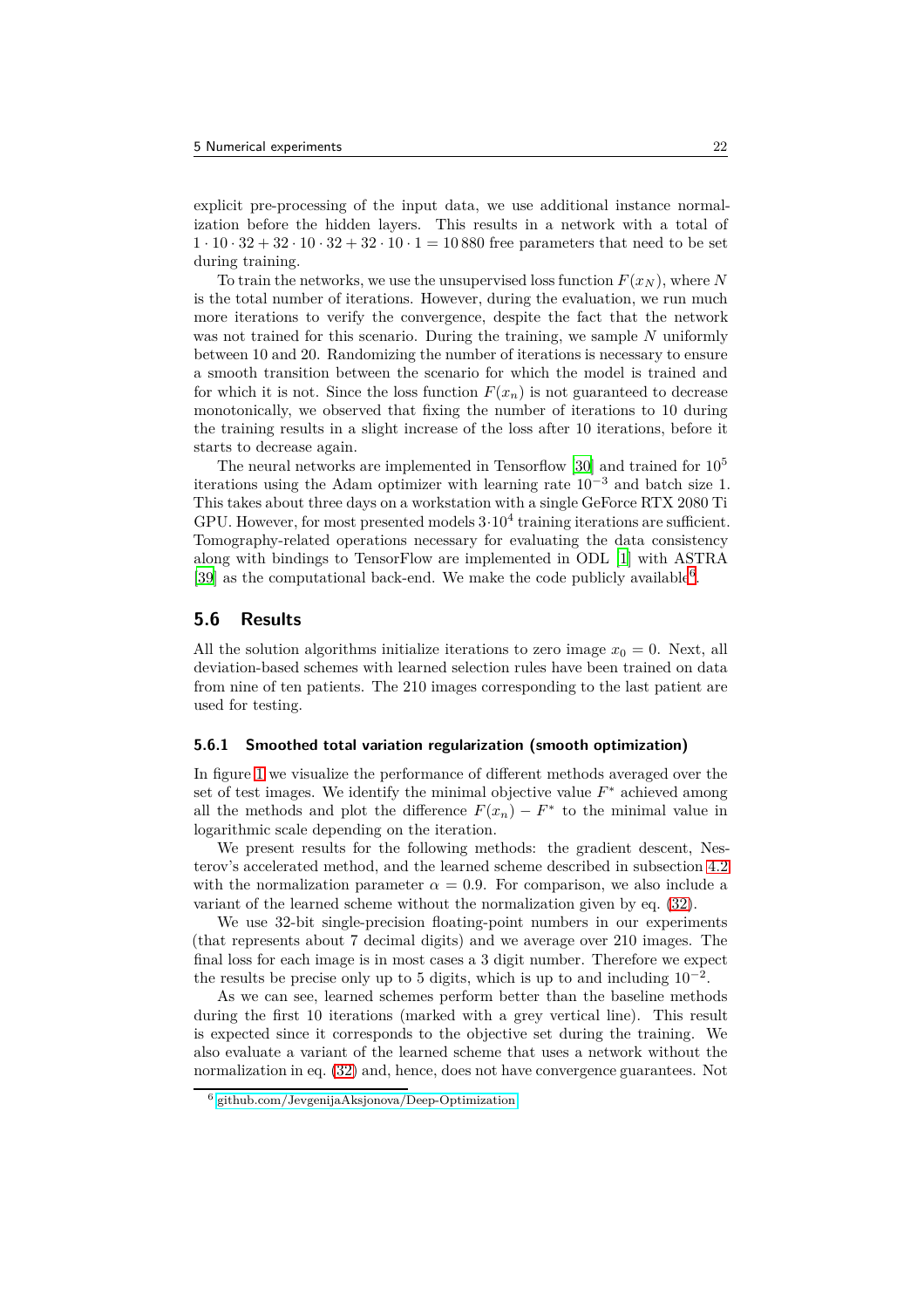explicit pre-processing of the input data, we use additional instance normalization before the hidden layers. This results in a network with a total of  $1 \cdot 10 \cdot 32 + 32 \cdot 10 \cdot 32 + 32 \cdot 10 \cdot 1 = 10880$  free parameters that need to be set during training.

To train the networks, we use the unsupervised loss function  $F(x_N)$ , where N is the total number of iterations. However, during the evaluation, we run much more iterations to verify the convergence, despite the fact that the network was not trained for this scenario. During the training, we sample *N* uniformly between 10 and 20. Randomizing the number of iterations is necessary to ensure a smooth transition between the scenario for which the model is trained and for which it is not. Since the loss function  $F(x_n)$  is not guaranteed to decrease monotonically, we observed that fixing the number of iterations to 10 during the training results in a slight increase of the loss after 10 iterations, before it starts to decrease again.

The neural networks are implemented in Tensorflow [\[30\]](#page-26-16) and trained for 10<sup>5</sup> iterations using the Adam optimizer with learning rate  $10^{-3}$  and batch size 1. This takes about three days on a workstation with a single GeForce RTX 2080 Ti GPU. However, for most presented models  $3 \cdot 10^4$  training iterations are sufficient. Tomography-related operations necessary for evaluating the data consistency along with bindings to TensorFlow are implemented in ODL [\[1](#page-24-2)] with ASTRA [\[39\]](#page-27-5) as the computational back-end. We make the code publicly available<sup>[6](#page-21-1)</sup>.

#### <span id="page-21-0"></span>**5.6 Results**

All the solution algorithms initialize iterations to zero image  $x_0 = 0$ . Next, all deviation-based schemes with learned selection rules have been trained on data from nine of ten patients. The 210 images corresponding to the last patient are used for testing.

#### **5.6.1 Smoothed total variation regularization (smooth optimization)**

In figure [1](#page-22-0) we visualize the performance of different methods averaged over the set of test images. We identify the minimal objective value  $F^*$  achieved among all the methods and plot the difference  $F(x_n) - F^*$  to the minimal value in logarithmic scale depending on the iteration.

We present results for the following methods: the gradient descent, Nesterov's accelerated method, and the learned scheme described in subsection [4.2](#page-15-4) with the normalization parameter  $\alpha = 0.9$ . For comparison, we also include a variant of the learned scheme without the normalization given by eq. [\(32\)](#page-16-0).

We use 32-bit single-precision floating-point numbers in our experiments (that represents about 7 decimal digits) and we average over 210 images. The final loss for each image is in most cases a 3 digit number. Therefore we expect the results be precise only up to 5 digits, which is up to and including  $10^{-2}$ .

As we can see, learned schemes perform better than the baseline methods during the first 10 iterations (marked with a grey vertical line). This result is expected since it corresponds to the objective set during the training. We also evaluate a variant of the learned scheme that uses a network without the normalization in eq. [\(32\)](#page-16-0) and, hence, does not have convergence guarantees. Not

<span id="page-21-1"></span><sup>6</sup> [github.com/JevgenijaAksjonova/Deep-Optimization](https://github.com/JevgenijaAksjonova/Deep-Optimization)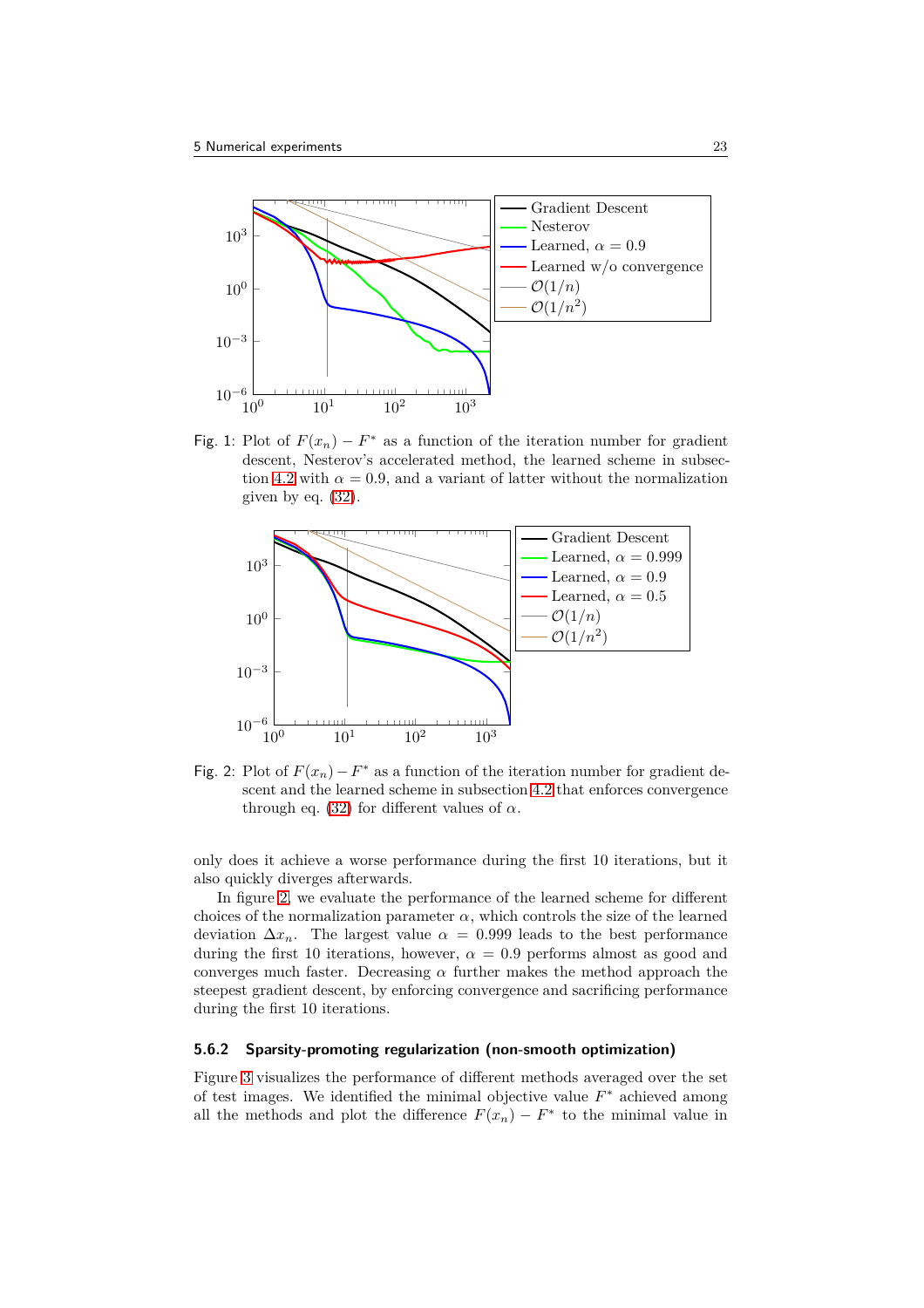<span id="page-22-0"></span>

Fig. 1: Plot of  $F(x_n) - F^*$  as a function of the iteration number for gradient descent, Nesterov's accelerated method, the learned scheme in subsec-tion [4.2](#page-15-4) with  $\alpha = 0.9$ , and a variant of latter without the normalization given by eq. [\(32\)](#page-16-0).

<span id="page-22-1"></span>

Fig. 2: Plot of  $F(x_n) - F^*$  as a function of the iteration number for gradient descent and the learned scheme in subsection [4.2](#page-15-4) that enforces convergence through eq. [\(32\)](#page-16-0) for different values of  $\alpha$ .

only does it achieve a worse performance during the first 10 iterations, but it also quickly diverges afterwards.

In figure [2,](#page-22-1) we evaluate the performance of the learned scheme for different choices of the normalization parameter  $\alpha$ , which controls the size of the learned deviation  $\Delta x_n$ . The largest value  $\alpha = 0.999$  leads to the best performance during the first 10 iterations, however,  $\alpha = 0.9$  performs almost as good and converges much faster. Decreasing  $\alpha$  further makes the method approach the steepest gradient descent, by enforcing convergence and sacrificing performance during the first 10 iterations.

#### **5.6.2 Sparsity-promoting regularization (non-smooth optimization)**

Figure [3](#page-23-0) visualizes the performance of different methods averaged over the set of test images. We identified the minimal objective value *F* <sup>∗</sup> achieved among all the methods and plot the difference  $F(x_n) - F^*$  to the minimal value in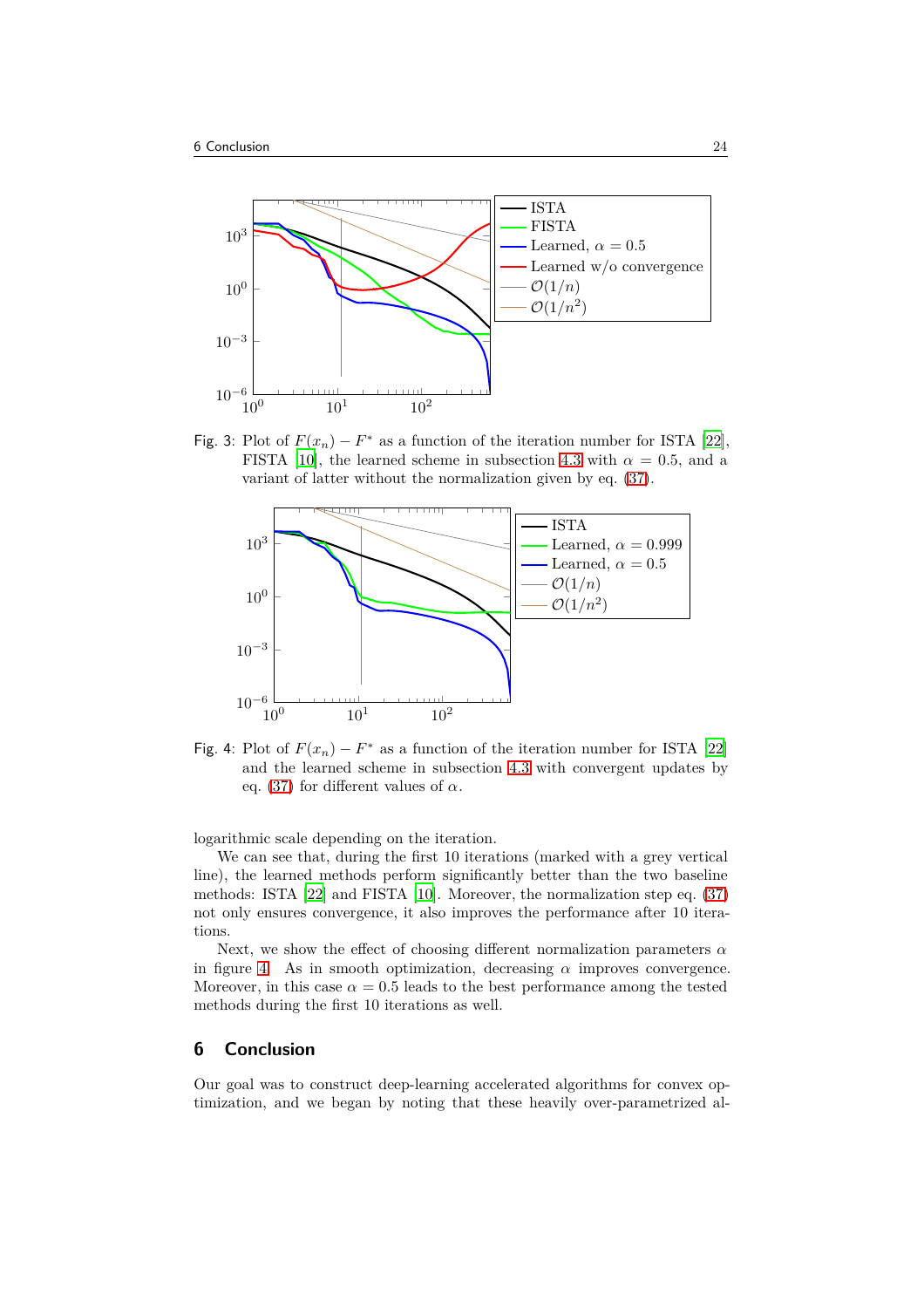<span id="page-23-0"></span>

Fig. 3: Plot of  $F(x_n) - F^*$  as a function of the iteration number for ISTA [\[22\]](#page-26-1), FISTA [\[10](#page-25-1)], the learned scheme in subsection [4.3](#page-16-1) with  $\alpha = 0.5$ , and a variant of latter without the normalization given by eq. [\(37\)](#page-17-3).

<span id="page-23-1"></span>

Fig. 4: Plot of  $F(x_n) - F^*$  as a function of the iteration number for ISTA [\[22\]](#page-26-1) and the learned scheme in subsection [4.3](#page-16-1) with convergent updates by eq. [\(37\)](#page-17-3) for different values of  $\alpha$ .

logarithmic scale depending on the iteration.

We can see that, during the first 10 iterations (marked with a grey vertical line), the learned methods perform significantly better than the two baseline methods: ISTA [\[22\]](#page-26-1) and FISTA [\[10\]](#page-25-1). Moreover, the normalization step eq. [\(37\)](#page-17-3) not only ensures convergence, it also improves the performance after 10 iterations.

Next, we show the effect of choosing different normalization parameters *α* in figure [4.](#page-23-1) As in smooth optimization, decreasing  $\alpha$  improves convergence. Moreover, in this case  $\alpha = 0.5$  leads to the best performance among the tested methods during the first 10 iterations as well.

## **6 Conclusion**

Our goal was to construct deep-learning accelerated algorithms for convex optimization, and we began by noting that these heavily over-parametrized al-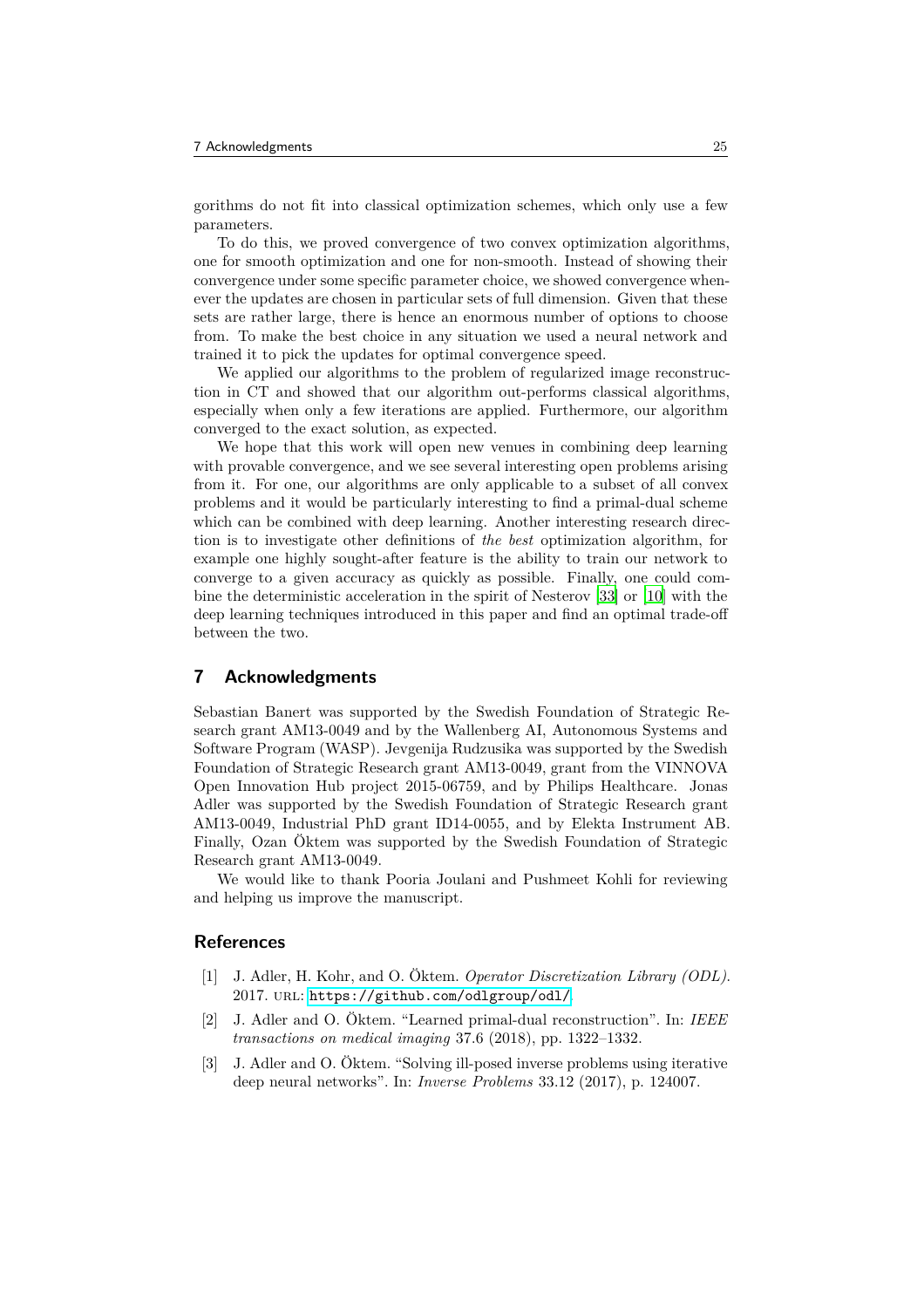gorithms do not fit into classical optimization schemes, which only use a few parameters.

To do this, we proved convergence of two convex optimization algorithms, one for smooth optimization and one for non-smooth. Instead of showing their convergence under some specific parameter choice, we showed convergence whenever the updates are chosen in particular sets of full dimension. Given that these sets are rather large, there is hence an enormous number of options to choose from. To make the best choice in any situation we used a neural network and trained it to pick the updates for optimal convergence speed.

We applied our algorithms to the problem of regularized image reconstruction in CT and showed that our algorithm out-performs classical algorithms, especially when only a few iterations are applied. Furthermore, our algorithm converged to the exact solution, as expected.

We hope that this work will open new venues in combining deep learning with provable convergence, and we see several interesting open problems arising from it. For one, our algorithms are only applicable to a subset of all convex problems and it would be particularly interesting to find a primal-dual scheme which can be combined with deep learning. Another interesting research direction is to investigate other definitions of *the best* optimization algorithm, for example one highly sought-after feature is the ability to train our network to converge to a given accuracy as quickly as possible. Finally, one could combine the deterministic acceleration in the spirit of Nesterov [\[33](#page-26-0)] or [\[10\]](#page-25-1) with the deep learning techniques introduced in this paper and find an optimal trade-off between the two.

## **7 Acknowledgments**

Sebastian Banert was supported by the Swedish Foundation of Strategic Research grant AM13-0049 and by the Wallenberg AI, Autonomous Systems and Software Program (WASP). Jevgenija Rudzusika was supported by the Swedish Foundation of Strategic Research grant AM13-0049, grant from the VINNOVA Open Innovation Hub project 2015-06759, and by Philips Healthcare. Jonas Adler was supported by the Swedish Foundation of Strategic Research grant AM13-0049, Industrial PhD grant ID14-0055, and by Elekta Instrument AB. Finally, Ozan Öktem was supported by the Swedish Foundation of Strategic Research grant AM13-0049.

We would like to thank Pooria Joulani and Pushmeet Kohli for reviewing and helping us improve the manuscript.

## <span id="page-24-2"></span>**References**

- [1] J. Adler, H. Kohr, and O. Öktem. *Operator Discretization Library (ODL)*. 2017. url: <https://github.com/odlgroup/odl/>.
- <span id="page-24-0"></span>[2] J. Adler and O. Öktem. "Learned primal-dual reconstruction". In: *IEEE transactions on medical imaging* 37.6 (2018), pp. 1322–1332.
- <span id="page-24-1"></span>[3] J. Adler and O. Öktem. "Solving ill-posed inverse problems using iterative deep neural networks". In: *Inverse Problems* 33.12 (2017), p. 124007.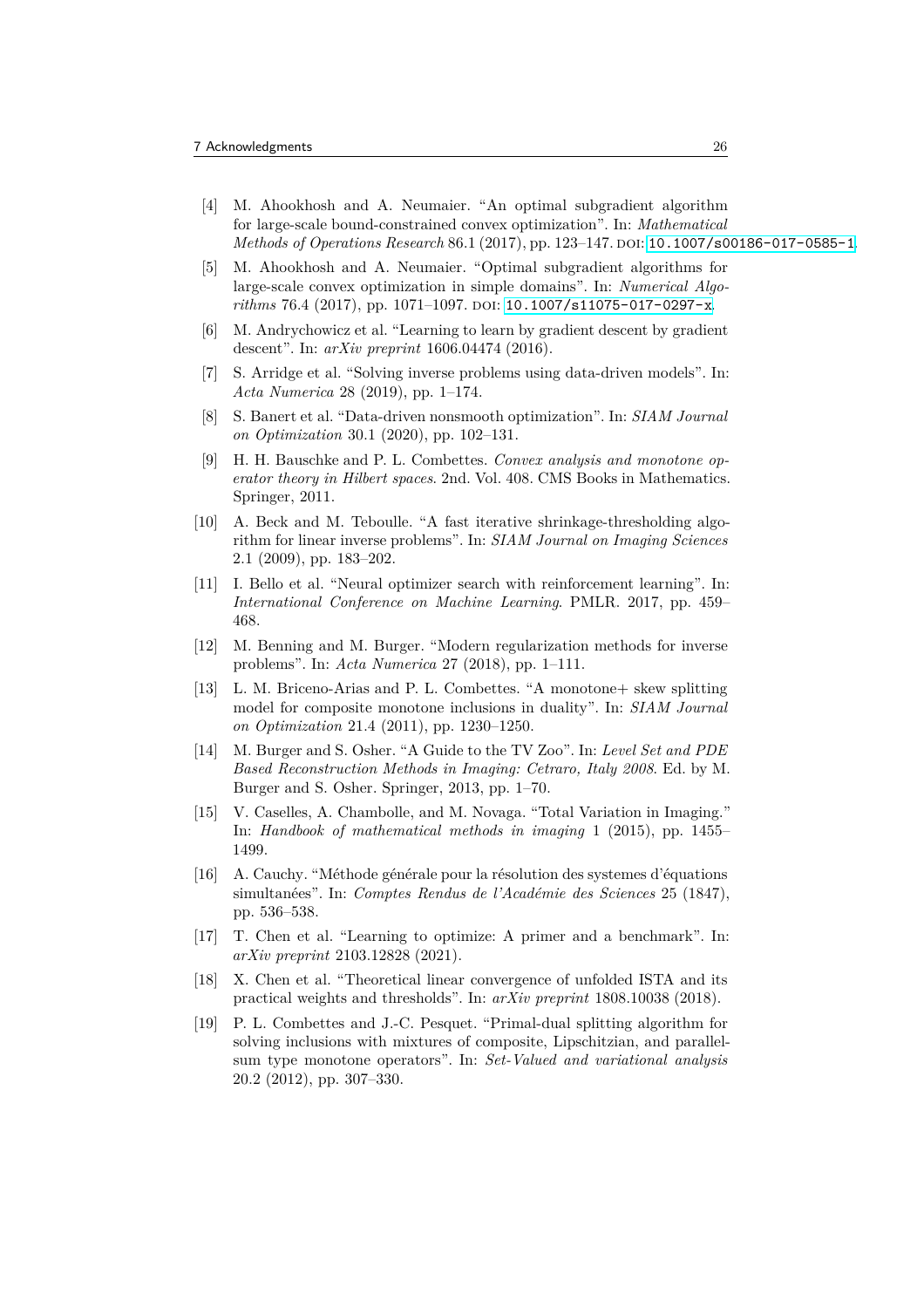- <span id="page-25-9"></span>[4] M. Ahookhosh and A. Neumaier. "An optimal subgradient algorithm for large-scale bound-constrained convex optimization". In: *Mathematical Methods of Operations Research* 86.1 (2017), pp. 123–147. DOI: [10.1007/s00186-017-0585-1](https://doi.org/10.1007/s00186-017-0585-1).
- <span id="page-25-10"></span>[5] M. Ahookhosh and A. Neumaier. "Optimal subgradient algorithms for large-scale convex optimization in simple domains". In: *Numerical Algorithms* 76.4 (2017), pp. 1071-1097. DOI: [10.1007/s11075-017-0297-x](https://doi.org/10.1007/s11075-017-0297-x).
- [6] M. Andrychowicz et al. "Learning to learn by gradient descent by gradient descent". In: *arXiv preprint* 1606.04474 (2016).
- <span id="page-25-5"></span>[7] S. Arridge et al. "Solving inverse problems using data-driven models". In: *Acta Numerica* 28 (2019), pp. 1–174.
- <span id="page-25-3"></span>[8] S. Banert et al. "Data-driven nonsmooth optimization". In: *SIAM Journal on Optimization* 30.1 (2020), pp. 102–131.
- <span id="page-25-6"></span>[9] H. H. Bauschke and P. L. Combettes. *Convex analysis and monotone operator theory in Hilbert spaces*. 2nd. Vol. 408. CMS Books in Mathematics. Springer, 2011.
- <span id="page-25-1"></span>[10] A. Beck and M. Teboulle. "A fast iterative shrinkage-thresholding algorithm for linear inverse problems". In: *SIAM Journal on Imaging Sciences* 2.1 (2009), pp. 183–202.
- <span id="page-25-4"></span>[11] I. Bello et al. "Neural optimizer search with reinforcement learning". In: *International Conference on Machine Learning*. PMLR. 2017, pp. 459– 468.
- <span id="page-25-11"></span>[12] M. Benning and M. Burger. "Modern regularization methods for inverse problems". In: *Acta Numerica* 27 (2018), pp. 1–111.
- <span id="page-25-7"></span>[13] L. M. Briceno-Arias and P. L. Combettes. "A monotone+ skew splitting model for composite monotone inclusions in duality". In: *SIAM Journal on Optimization* 21.4 (2011), pp. 1230–1250.
- <span id="page-25-12"></span>[14] M. Burger and S. Osher. "A Guide to the TV Zoo". In: *Level Set and PDE Based Reconstruction Methods in Imaging: Cetraro, Italy 2008*. Ed. by M. Burger and S. Osher. Springer, 2013, pp. 1–70.
- <span id="page-25-13"></span>[15] V. Caselles, A. Chambolle, and M. Novaga. "Total Variation in Imaging." In: *Handbook of mathematical methods in imaging* 1 (2015), pp. 1455– 1499.
- <span id="page-25-0"></span>[16] A. Cauchy. "Méthode générale pour la résolution des systemes d'équations simultanées". In: *Comptes Rendus de l'Académie des Sciences* 25 (1847), pp. 536–538.
- <span id="page-25-2"></span>[17] T. Chen et al. "Learning to optimize: A primer and a benchmark". In: *arXiv preprint* 2103.12828 (2021).
- [18] X. Chen et al. "Theoretical linear convergence of unfolded ISTA and its practical weights and thresholds". In: *arXiv preprint* 1808.10038 (2018).
- <span id="page-25-8"></span>[19] P. L. Combettes and J.-C. Pesquet. "Primal-dual splitting algorithm for solving inclusions with mixtures of composite, Lipschitzian, and parallelsum type monotone operators". In: *Set-Valued and variational analysis* 20.2 (2012), pp. 307–330.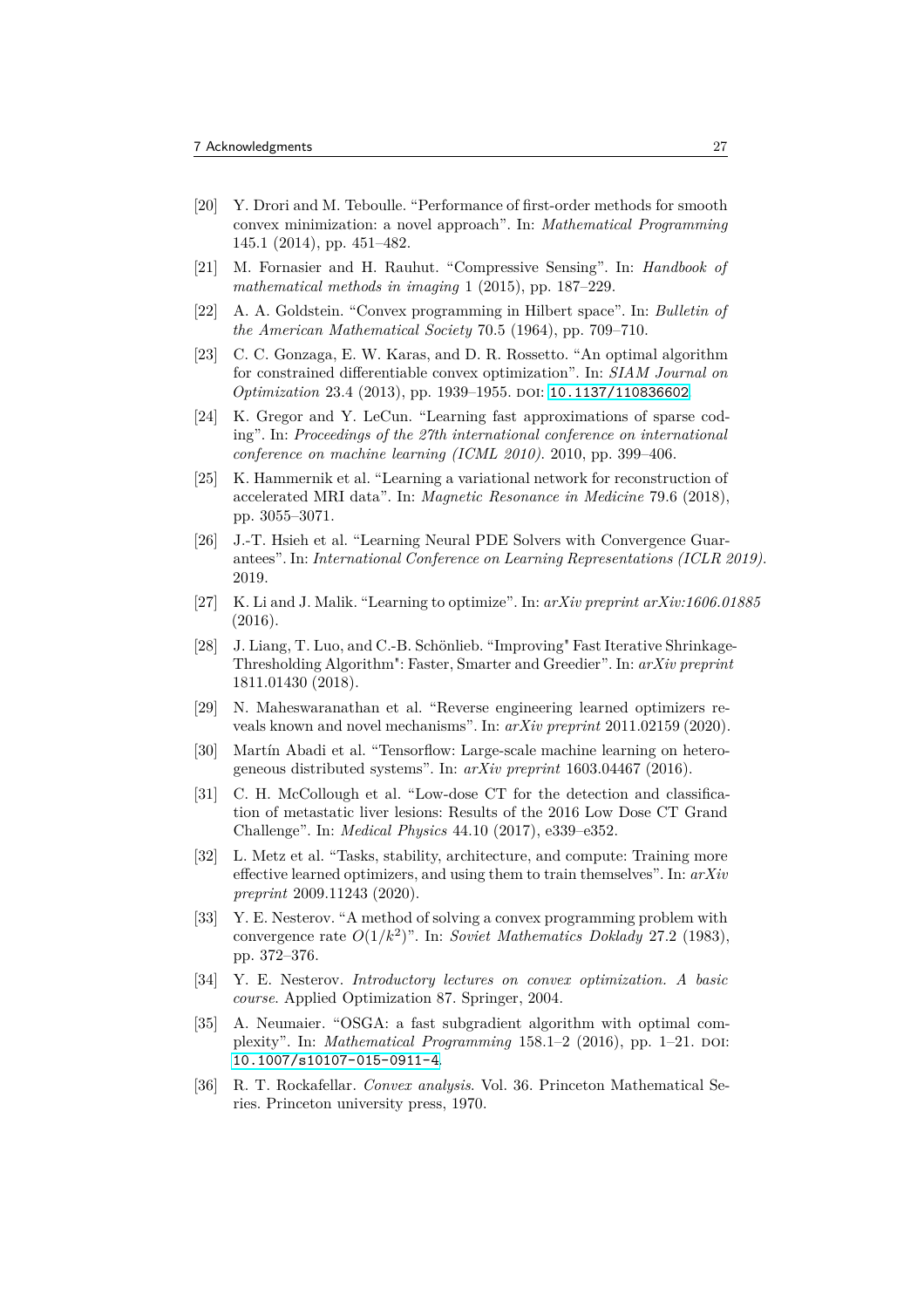- <span id="page-26-11"></span>[20] Y. Drori and M. Teboulle. "Performance of first-order methods for smooth convex minimization: a novel approach". In: *Mathematical Programming* 145.1 (2014), pp. 451–482.
- <span id="page-26-15"></span>[21] M. Fornasier and H. Rauhut. "Compressive Sensing". In: *Handbook of mathematical methods in imaging* 1 (2015), pp. 187–229.
- <span id="page-26-1"></span>[22] A. A. Goldstein. "Convex programming in Hilbert space". In: *Bulletin of the American Mathematical Society* 70.5 (1964), pp. 709–710.
- <span id="page-26-12"></span>[23] C. C. Gonzaga, E. W. Karas, and D. R. Rossetto. "An optimal algorithm for constrained differentiable convex optimization". In: *SIAM Journal on Optimization* 23.4 (2013), pp. 1939–1955. doi: [10.1137/110836602](https://doi.org/10.1137/110836602).
- <span id="page-26-2"></span>[24] K. Gregor and Y. LeCun. "Learning fast approximations of sparse coding". In: *Proceedings of the 27th international conference on international conference on machine learning (ICML 2010)*. 2010, pp. 399–406.
- <span id="page-26-7"></span>[25] K. Hammernik et al. "Learning a variational network for reconstruction of accelerated MRI data". In: *Magnetic Resonance in Medicine* 79.6 (2018), pp. 3055–3071.
- <span id="page-26-8"></span>[26] J.-T. Hsieh et al. "Learning Neural PDE Solvers with Convergence Guarantees". In: *International Conference on Learning Representations (ICLR 2019)*. 2019.
- <span id="page-26-3"></span>[27] K. Li and J. Malik. "Learning to optimize". In: *arXiv preprint arXiv:1606.01885* (2016).
- <span id="page-26-6"></span>[28] J. Liang, T. Luo, and C.-B. Schönlieb. "Improving" Fast Iterative Shrinkage-Thresholding Algorithm": Faster, Smarter and Greedier". In: *arXiv preprint* 1811.01430 (2018).
- <span id="page-26-4"></span>[29] N. Maheswaranathan et al. "Reverse engineering learned optimizers reveals known and novel mechanisms". In: *arXiv preprint* 2011.02159 (2020).
- <span id="page-26-16"></span>[30] Martín Abadi et al. "Tensorflow: Large-scale machine learning on heterogeneous distributed systems". In: *arXiv preprint* 1603.04467 (2016).
- <span id="page-26-14"></span>[31] C. H. McCollough et al. "Low-dose CT for the detection and classification of metastatic liver lesions: Results of the 2016 Low Dose CT Grand Challenge". In: *Medical Physics* 44.10 (2017), e339–e352.
- <span id="page-26-5"></span>[32] L. Metz et al. "Tasks, stability, architecture, and compute: Training more effective learned optimizers, and using them to train themselves". In: *arXiv preprint* 2009.11243 (2020).
- <span id="page-26-0"></span>[33] Y. E. Nesterov. "A method of solving a convex programming problem with convergence rate *O*(1*/k*<sup>2</sup> )". In: *Soviet Mathematics Doklady* 27.2 (1983), pp. 372–376.
- <span id="page-26-9"></span>[34] Y. E. Nesterov. *Introductory lectures on convex optimization. A basic course*. Applied Optimization 87. Springer, 2004.
- <span id="page-26-13"></span>[35] A. Neumaier. "OSGA: a fast subgradient algorithm with optimal complexity". In: *Mathematical Programming* 158.1–2 (2016), pp. 1–21. DOI: [10.1007/s10107-015-0911-4](https://doi.org/10.1007/s10107-015-0911-4).
- <span id="page-26-10"></span>[36] R. T. Rockafellar. *Convex analysis*. Vol. 36. Princeton Mathematical Series. Princeton university press, 1970.